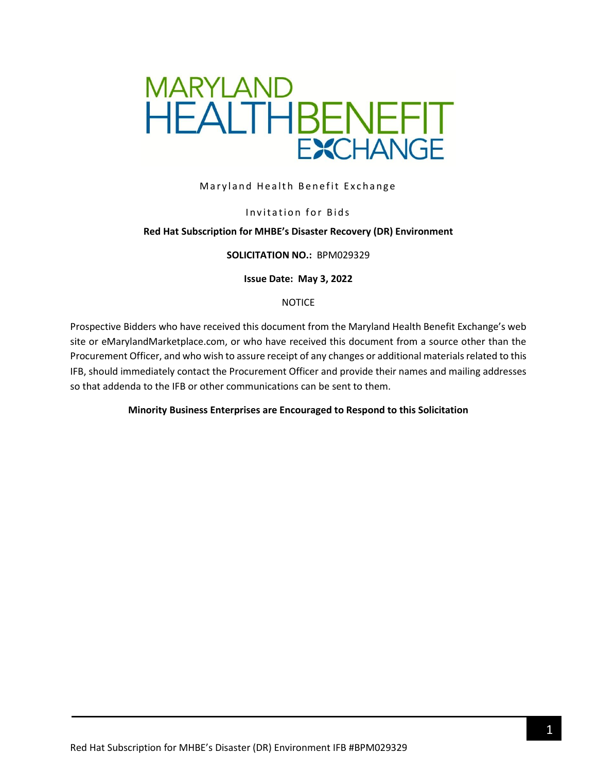

### Maryland Health Benefit Exchange

### Invitation for Bids

#### **Red Hat Subscription for MHBE's Disaster Recovery (DR) Environment**

#### **SOLICITATION NO.:** BPM029329

**Issue Date: May 3, 2022**

#### NOTICE

Prospective Bidders who have received this document from the Maryland Health Benefit Exchange's web site or eMarylandMarketplace.com, or who have received this document from a source other than the Procurement Officer, and who wish to assure receipt of any changes or additional materials related to this IFB, should immediately contact the Procurement Officer and provide their names and mailing addresses so that addenda to the IFB or other communications can be sent to them.

#### **Minority Business Enterprises are Encouraged to Respond to this Solicitation**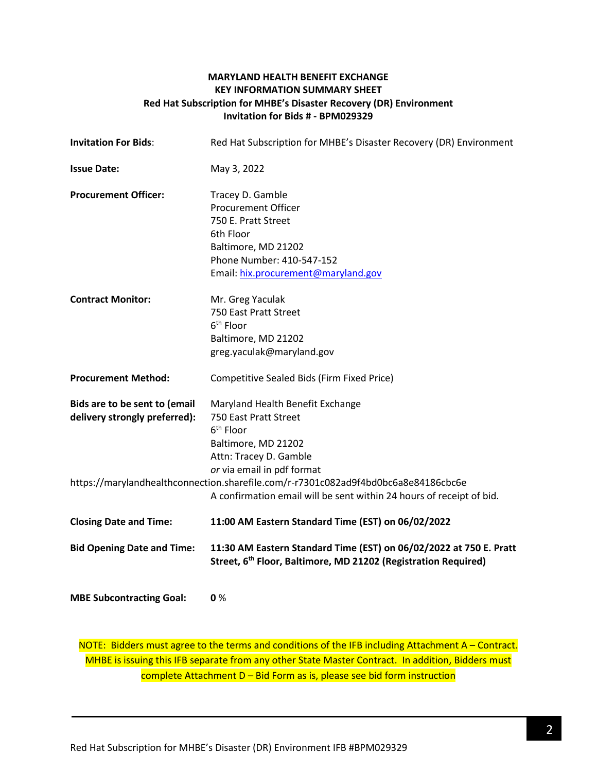### **MARYLAND HEALTH BENEFIT EXCHANGE KEY INFORMATION SUMMARY SHEET Red Hat Subscription for MHBE's Disaster Recovery (DR) Environment Invitation for Bids # - BPM029329**

| <b>Invitation For Bids:</b>       | Red Hat Subscription for MHBE's Disaster Recovery (DR) Environment                                                                               |
|-----------------------------------|--------------------------------------------------------------------------------------------------------------------------------------------------|
| <b>Issue Date:</b>                | May 3, 2022                                                                                                                                      |
| <b>Procurement Officer:</b>       | Tracey D. Gamble<br><b>Procurement Officer</b>                                                                                                   |
|                                   | 750 E. Pratt Street                                                                                                                              |
|                                   | 6th Floor                                                                                                                                        |
|                                   | Baltimore, MD 21202                                                                                                                              |
|                                   | Phone Number: 410-547-152                                                                                                                        |
|                                   | Email: hix.procurement@maryland.gov                                                                                                              |
|                                   |                                                                                                                                                  |
| <b>Contract Monitor:</b>          | Mr. Greg Yaculak                                                                                                                                 |
|                                   | 750 East Pratt Street                                                                                                                            |
|                                   | 6 <sup>th</sup> Floor                                                                                                                            |
|                                   | Baltimore, MD 21202                                                                                                                              |
|                                   | greg.yaculak@maryland.gov                                                                                                                        |
| <b>Procurement Method:</b>        | Competitive Sealed Bids (Firm Fixed Price)                                                                                                       |
| Bids are to be sent to (email     | Maryland Health Benefit Exchange                                                                                                                 |
| delivery strongly preferred):     | 750 East Pratt Street                                                                                                                            |
|                                   | 6 <sup>th</sup> Floor                                                                                                                            |
|                                   | Baltimore, MD 21202                                                                                                                              |
|                                   | Attn: Tracey D. Gamble                                                                                                                           |
|                                   | or via email in pdf format                                                                                                                       |
|                                   | https://marylandhealthconnection.sharefile.com/r-r7301c082ad9f4bd0bc6a8e84186cbc6e                                                               |
|                                   | A confirmation email will be sent within 24 hours of receipt of bid.                                                                             |
| <b>Closing Date and Time:</b>     | 11:00 AM Eastern Standard Time (EST) on 06/02/2022                                                                                               |
| <b>Bid Opening Date and Time:</b> | 11:30 AM Eastern Standard Time (EST) on 06/02/2022 at 750 E. Pratt<br>Street, 6 <sup>th</sup> Floor, Baltimore, MD 21202 (Registration Required) |
| <b>MBE Subcontracting Goal:</b>   | 0%                                                                                                                                               |

NOTE: Bidders must agree to the terms and conditions of the IFB including Attachment A – Contract. MHBE is issuing this IFB separate from any other State Master Contract. In addition, Bidders must complete Attachment D – Bid Form as is, please see bid form instruction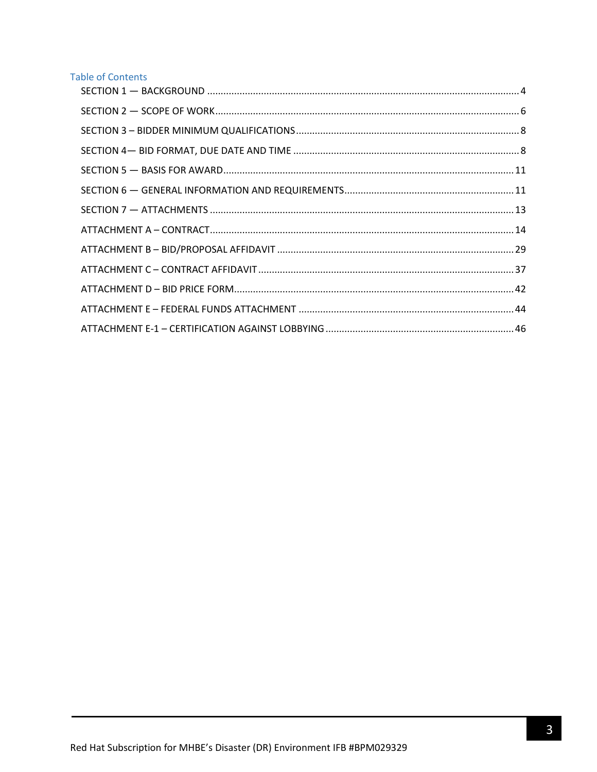## **Table of Contents**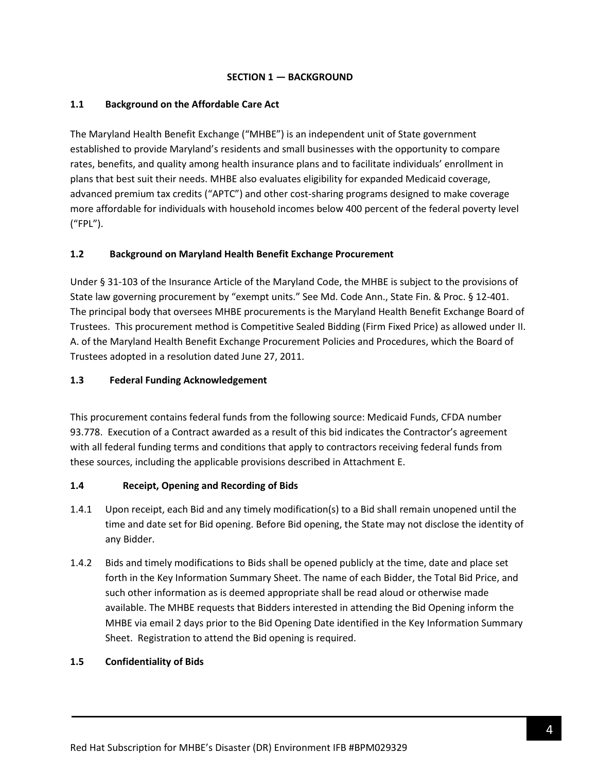### **SECTION 1 — BACKGROUND**

### <span id="page-3-0"></span>**1.1 Background on the Affordable Care Act**

The Maryland Health Benefit Exchange ("MHBE") is an independent unit of State government established to provide Maryland's residents and small businesses with the opportunity to compare rates, benefits, and quality among health insurance plans and to facilitate individuals' enrollment in plans that best suit their needs. MHBE also evaluates eligibility for expanded Medicaid coverage, advanced premium tax credits ("APTC") and other cost-sharing programs designed to make coverage more affordable for individuals with household incomes below 400 percent of the federal poverty level ("FPL").

## **1.2 Background on Maryland Health Benefit Exchange Procurement**

Under § 31-103 of the Insurance Article of the Maryland Code, the MHBE is subject to the provisions of State law governing procurement by "exempt units." See Md. Code Ann., State Fin. & Proc. § 12-401. The principal body that oversees MHBE procurements is the Maryland Health Benefit Exchange Board of Trustees. This procurement method is Competitive Sealed Bidding (Firm Fixed Price) as allowed under II. A. of the Maryland Health Benefit Exchange Procurement Policies and Procedures, which the Board of Trustees adopted in a resolution dated June 27, 2011.

### **1.3 Federal Funding Acknowledgement**

This procurement contains federal funds from the following source: Medicaid Funds, CFDA number 93.778. Execution of a Contract awarded as a result of this bid indicates the Contractor's agreement with all federal funding terms and conditions that apply to contractors receiving federal funds from these sources, including the applicable provisions described in Attachment E.

### **1.4 Receipt, Opening and Recording of Bids**

- 1.4.1 Upon receipt, each Bid and any timely modification(s) to a Bid shall remain unopened until the time and date set for Bid opening. Before Bid opening, the State may not disclose the identity of any Bidder.
- 1.4.2 Bids and timely modifications to Bids shall be opened publicly at the time, date and place set forth in the Key Information Summary Sheet. The name of each Bidder, the Total Bid Price, and such other information as is deemed appropriate shall be read aloud or otherwise made available. The MHBE requests that Bidders interested in attending the Bid Opening inform the MHBE via email 2 days prior to the Bid Opening Date identified in the Key Information Summary Sheet. Registration to attend the Bid opening is required.

### **1.5 Confidentiality of Bids**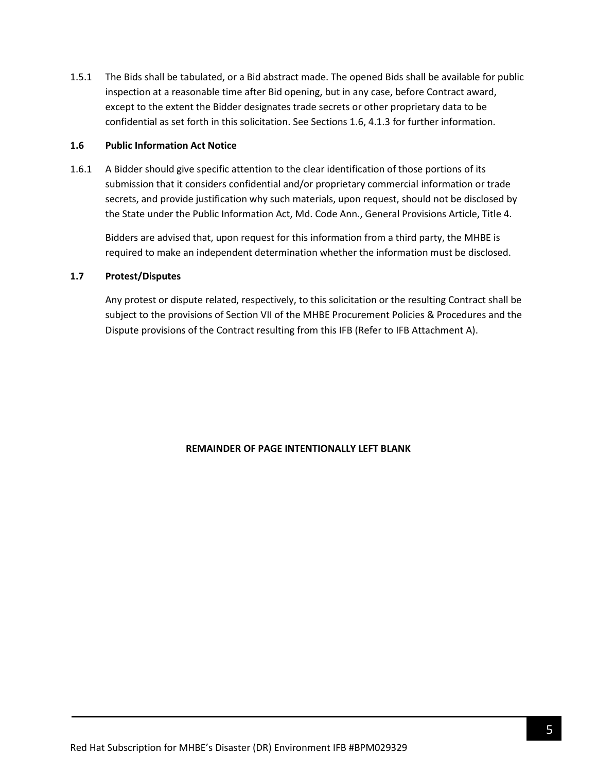1.5.1 The Bids shall be tabulated, or a Bid abstract made. The opened Bids shall be available for public inspection at a reasonable time after Bid opening, but in any case, before Contract award, except to the extent the Bidder designates trade secrets or other proprietary data to be confidential as set forth in this solicitation. See Sections 1.6, 4.1.3 for further information.

#### **1.6 Public Information Act Notice**

1.6.1 A Bidder should give specific attention to the clear identification of those portions of its submission that it considers confidential and/or proprietary commercial information or trade secrets, and provide justification why such materials, upon request, should not be disclosed by the State under the Public Information Act, Md. Code Ann., General Provisions Article, Title 4.

Bidders are advised that, upon request for this information from a third party, the MHBE is required to make an independent determination whether the information must be disclosed.

### **1.7 Protest/Disputes**

Any protest or dispute related, respectively, to this solicitation or the resulting Contract shall be subject to the provisions of Section VII of the MHBE Procurement Policies & Procedures and the Dispute provisions of the Contract resulting from this IFB (Refer to IFB Attachment A).

### **REMAINDER OF PAGE INTENTIONALLY LEFT BLANK**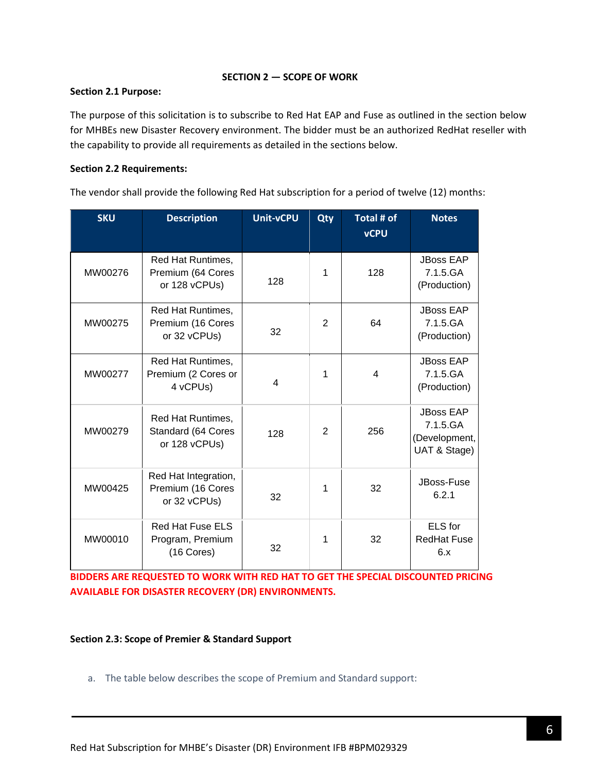### **SECTION 2 — SCOPE OF WORK**

#### <span id="page-5-0"></span>**Section 2.1 Purpose:**

The purpose of this solicitation is to subscribe to Red Hat EAP and Fuse as outlined in the section below for MHBEs new Disaster Recovery environment. The bidder must be an authorized RedHat reseller with the capability to provide all requirements as detailed in the sections below.

### **Section 2.2 Requirements:**

The vendor shall provide the following Red Hat subscription for a period of twelve (12) months:

| <b>SKU</b> | <b>Description</b>                                        | <b>Unit-vCPU</b> | <b>Qty</b> | Total # of<br><b>vCPU</b> | <b>Notes</b>                                                  |
|------------|-----------------------------------------------------------|------------------|------------|---------------------------|---------------------------------------------------------------|
| MW00276    | Red Hat Runtimes,<br>Premium (64 Cores<br>or 128 vCPUs)   | 128              | 1          | 128                       | <b>JBoss EAP</b><br>7.1.5.GA<br>(Production)                  |
| MW00275    | Red Hat Runtimes,<br>Premium (16 Cores<br>or 32 vCPUs)    | 32               | 2          | 64                        | <b>JBoss EAP</b><br>7.1.5.GA<br>(Production)                  |
| MW00277    | Red Hat Runtimes,<br>Premium (2 Cores or<br>4 vCPUs)      | 4                | 1          | 4                         | <b>JBoss EAP</b><br>7.1.5.GA<br>(Production)                  |
| MW00279    | Red Hat Runtimes,<br>Standard (64 Cores<br>or 128 vCPUs)  | 128              | 2          | 256                       | <b>JBoss EAP</b><br>7.1.5.GA<br>(Development,<br>UAT & Stage) |
| MW00425    | Red Hat Integration,<br>Premium (16 Cores<br>or 32 vCPUs) | 32               | 1          | 32                        | JBoss-Fuse<br>6.2.1                                           |
| MW00010    | <b>Red Hat Fuse ELS</b><br>Program, Premium<br>(16 Cores) | 32               | 1          | 32                        | ELS for<br><b>RedHat Fuse</b><br>6.x                          |

**BIDDERS ARE REQUESTED TO WORK WITH RED HAT TO GET THE SPECIAL DISCOUNTED PRICING AVAILABLE FOR DISASTER RECOVERY (DR) ENVIRONMENTS.**

### **Section 2.3: Scope of Premier & Standard Support**

a. The table below describes the scope of Premium and Standard support: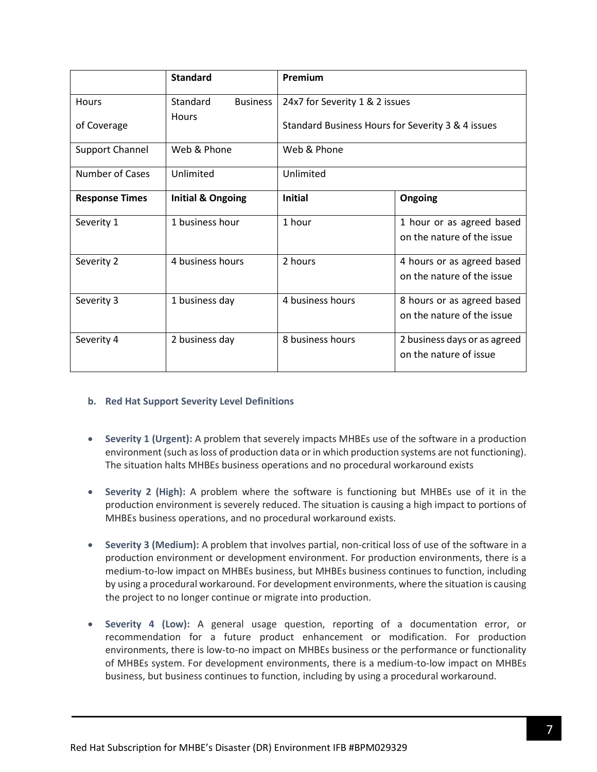|                        | <b>Standard</b>              | Premium                                           |                                                          |
|------------------------|------------------------------|---------------------------------------------------|----------------------------------------------------------|
| <b>Hours</b>           | Standard<br><b>Business</b>  | 24x7 for Severity 1 & 2 issues                    |                                                          |
| of Coverage            | <b>Hours</b>                 | Standard Business Hours for Severity 3 & 4 issues |                                                          |
| Support Channel        | Web & Phone                  | Web & Phone                                       |                                                          |
| <b>Number of Cases</b> | Unlimited                    | Unlimited                                         |                                                          |
| <b>Response Times</b>  | <b>Initial &amp; Ongoing</b> | <b>Initial</b>                                    | Ongoing                                                  |
| Severity 1             | 1 business hour              | 1 hour                                            | 1 hour or as agreed based<br>on the nature of the issue  |
| Severity 2             | 4 business hours             | 2 hours                                           | 4 hours or as agreed based<br>on the nature of the issue |
| Severity 3             | 1 business day               | 4 business hours                                  | 8 hours or as agreed based<br>on the nature of the issue |
| Severity 4             | 2 business day               | 8 business hours                                  | 2 business days or as agreed<br>on the nature of issue   |

### **b. Red Hat Support Severity Level Definitions**

- **Severity 1 (Urgent):** A problem that severely impacts MHBEs use of the software in a production environment (such as loss of production data or in which production systems are not functioning). The situation halts MHBEs business operations and no procedural workaround exists
- **Severity 2 (High):** A problem where the software is functioning but MHBEs use of it in the production environment is severely reduced. The situation is causing a high impact to portions of MHBEs business operations, and no procedural workaround exists.
- **Severity 3 (Medium):** A problem that involves partial, non-critical loss of use of the software in a production environment or development environment. For production environments, there is a medium-to-low impact on MHBEs business, but MHBEs business continues to function, including by using a procedural workaround. For development environments, where the situation is causing the project to no longer continue or migrate into production.
- **Severity 4 (Low):** A general usage question, reporting of a documentation error, or recommendation for a future product enhancement or modification. For production environments, there is low-to-no impact on MHBEs business or the performance or functionality of MHBEs system. For development environments, there is a medium-to-low impact on MHBEs business, but business continues to function, including by using a procedural workaround.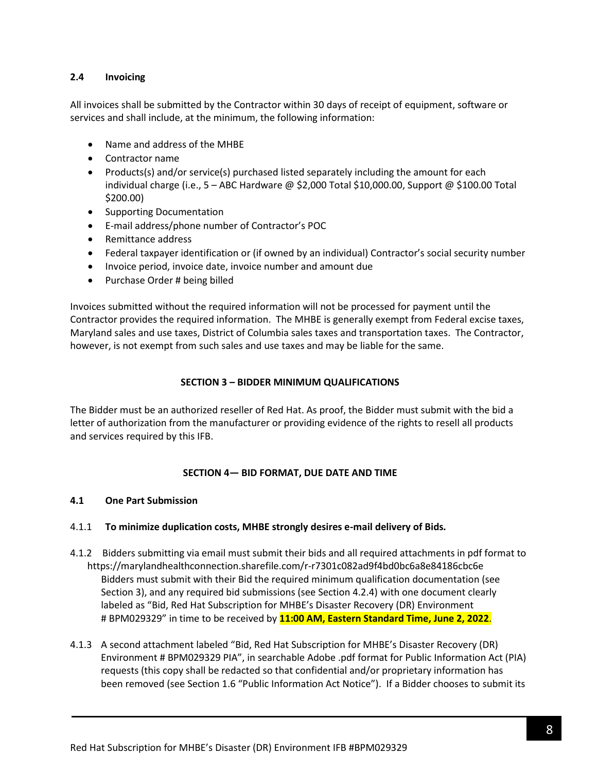### **2.4 Invoicing**

All invoices shall be submitted by the Contractor within 30 days of receipt of equipment, software or services and shall include, at the minimum, the following information:

- Name and address of the MHBE
- Contractor name
- Products(s) and/or service(s) purchased listed separately including the amount for each individual charge (i.e., 5 – ABC Hardware @ \$2,000 Total \$10,000.00, Support @ \$100.00 Total \$200.00)
- Supporting Documentation
- E-mail address/phone number of Contractor's POC
- Remittance address
- Federal taxpayer identification or (if owned by an individual) Contractor's social security number
- Invoice period, invoice date, invoice number and amount due
- Purchase Order # being billed

Invoices submitted without the required information will not be processed for payment until the Contractor provides the required information. The MHBE is generally exempt from Federal excise taxes, Maryland sales and use taxes, District of Columbia sales taxes and transportation taxes. The Contractor, however, is not exempt from such sales and use taxes and may be liable for the same.

### **SECTION 3 – BIDDER MINIMUM QUALIFICATIONS**

<span id="page-7-0"></span>The Bidder must be an authorized reseller of Red Hat. As proof, the Bidder must submit with the bid a letter of authorization from the manufacturer or providing evidence of the rights to resell all products and services required by this IFB.

### **SECTION 4— BID FORMAT, DUE DATE AND TIME**

### <span id="page-7-1"></span>**4.1 One Part Submission**

### 4.1.1 **To minimize duplication costs, MHBE strongly desires e-mail delivery of Bids***.*

- 4.1.2 Bidders submitting via email must submit their bids and all required attachments in pdf format to https://marylandhealthconnection.sharefile.com/r-r7301c082ad9f4bd0bc6a8e84186cbc6e Bidders must submit with their Bid the required minimum qualification documentation (see Section 3), and any required bid submissions (see Section 4.2.4) with one document clearly labeled as "Bid, Red Hat Subscription for MHBE's Disaster Recovery (DR) Environment # BPM029329" in time to be received by **11:00 AM, Eastern Standard Time, June 2, 2022**.
- 4.1.3 A second attachment labeled "Bid, Red Hat Subscription for MHBE's Disaster Recovery (DR) Environment # BPM029329 PIA", in searchable Adobe .pdf format for Public Information Act (PIA) requests (this copy shall be redacted so that confidential and/or proprietary information has been removed (see Section 1.6 "Public Information Act Notice"). If a Bidder chooses to submit its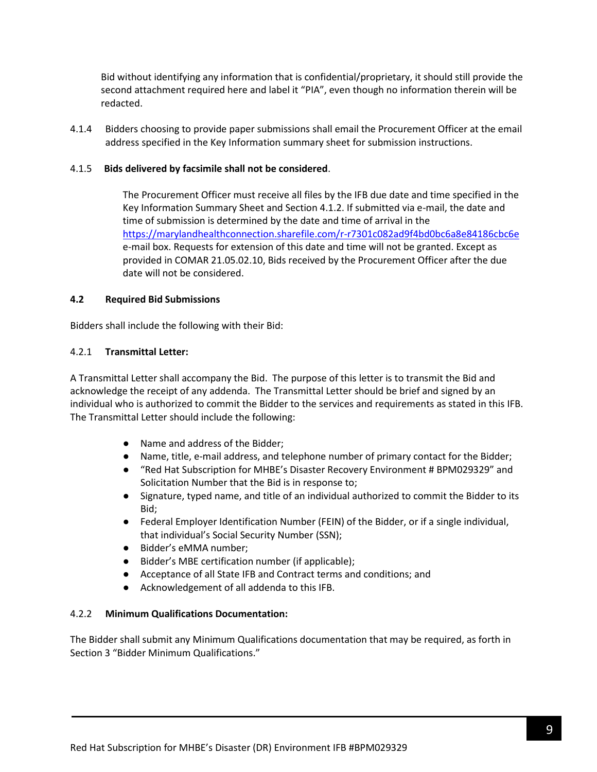Bid without identifying any information that is confidential/proprietary, it should still provide the second attachment required here and label it "PIA", even though no information therein will be redacted.

4.1.4 Bidders choosing to provide paper submissions shall email the Procurement Officer at the email address specified in the Key Information summary sheet for submission instructions.

### 4.1.5 **Bids delivered by facsimile shall not be considered**.

The Procurement Officer must receive all files by the IFB due date and time specified in the Key Information Summary Sheet and Section 4.1.2. If submitted via e-mail, the date and time of submission is determined by the date and time of arrival in the <https://marylandhealthconnection.sharefile.com/r-r7301c082ad9f4bd0bc6a8e84186cbc6e> e-mail box. Requests for extension of this date and time will not be granted. Except as provided in COMAR 21.05.02.10, Bids received by the Procurement Officer after the due date will not be considered.

### **4.2 Required Bid Submissions**

Bidders shall include the following with their Bid:

### 4.2.1 **Transmittal Letter:**

A Transmittal Letter shall accompany the Bid. The purpose of this letter is to transmit the Bid and acknowledge the receipt of any addenda. The Transmittal Letter should be brief and signed by an individual who is authorized to commit the Bidder to the services and requirements as stated in this IFB. The Transmittal Letter should include the following:

- Name and address of the Bidder;
- Name, title, e-mail address, and telephone number of primary contact for the Bidder;
- "Red Hat Subscription for MHBE's Disaster Recovery Environment # BPM029329" and Solicitation Number that the Bid is in response to;
- Signature, typed name, and title of an individual authorized to commit the Bidder to its Bid;
- Federal Employer Identification Number (FEIN) of the Bidder, or if a single individual, that individual's Social Security Number (SSN);
- Bidder's eMMA number;
- Bidder's MBE certification number (if applicable);
- Acceptance of all State IFB and Contract terms and conditions; and
- Acknowledgement of all addenda to this IFB.

### 4.2.2 **Minimum Qualifications Documentation:**

The Bidder shall submit any Minimum Qualifications documentation that may be required, as forth in Section 3 "Bidder Minimum Qualifications."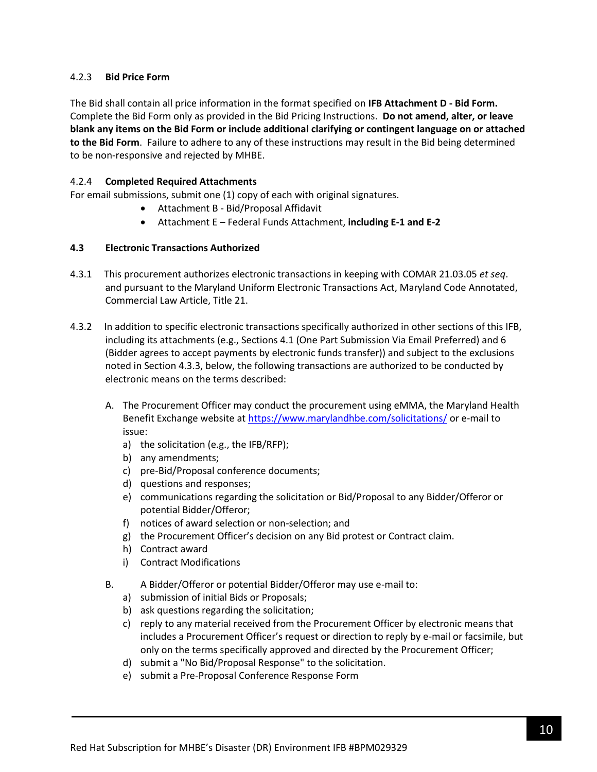### 4.2.3 **Bid Price Form**

The Bid shall contain all price information in the format specified on **IFB Attachment D - Bid Form.** Complete the Bid Form only as provided in the Bid Pricing Instructions. **Do not amend, alter, or leave blank any items on the Bid Form or include additional clarifying or contingent language on or attached to the Bid Form**. Failure to adhere to any of these instructions may result in the Bid being determined to be non-responsive and rejected by MHBE.

### 4.2.4 **Completed Required Attachments**

For email submissions, submit one (1) copy of each with original signatures.

- Attachment B Bid/Proposal Affidavit
- Attachment E Federal Funds Attachment, **including E-1 and E-2**

### **4.3 Electronic Transactions Authorized**

- 4.3.1 This procurement authorizes electronic transactions in keeping with COMAR 21.03.05 *et seq*. and pursuant to the Maryland Uniform Electronic Transactions Act, Maryland Code Annotated, Commercial Law Article, Title 21.
- 4.3.2 In addition to specific electronic transactions specifically authorized in other sections of this IFB, including its attachments (e.g., Sections 4.1 (One Part Submission Via Email Preferred) and 6 (Bidder agrees to accept payments by electronic funds transfer)) and subject to the exclusions noted in Section 4.3.3, below, the following transactions are authorized to be conducted by electronic means on the terms described:
	- A. The Procurement Officer may conduct the procurement using eMMA, the Maryland Health Benefit Exchange website a[t https://www.marylandhbe.com/solicitations/](https://www.marylandhbe.com/solicitations/) or e-mail to issue:
		- a) the solicitation (e.g., the IFB/RFP);
		- b) any amendments;
		- c) pre-Bid/Proposal conference documents;
		- d) questions and responses;
		- e) communications regarding the solicitation or Bid/Proposal to any Bidder/Offeror or potential Bidder/Offeror;
		- f) notices of award selection or non-selection; and
		- g) the Procurement Officer's decision on any Bid protest or Contract claim.
		- h) Contract award
		- i) Contract Modifications
	- B. A Bidder/Offeror or potential Bidder/Offeror may use e-mail to:
		- a) submission of initial Bids or Proposals;
		- b) ask questions regarding the solicitation;
		- c) reply to any material received from the Procurement Officer by electronic means that includes a Procurement Officer's request or direction to reply by e-mail or facsimile, but only on the terms specifically approved and directed by the Procurement Officer;
		- d) submit a "No Bid/Proposal Response" to the solicitation.
		- e) submit a Pre-Proposal Conference Response Form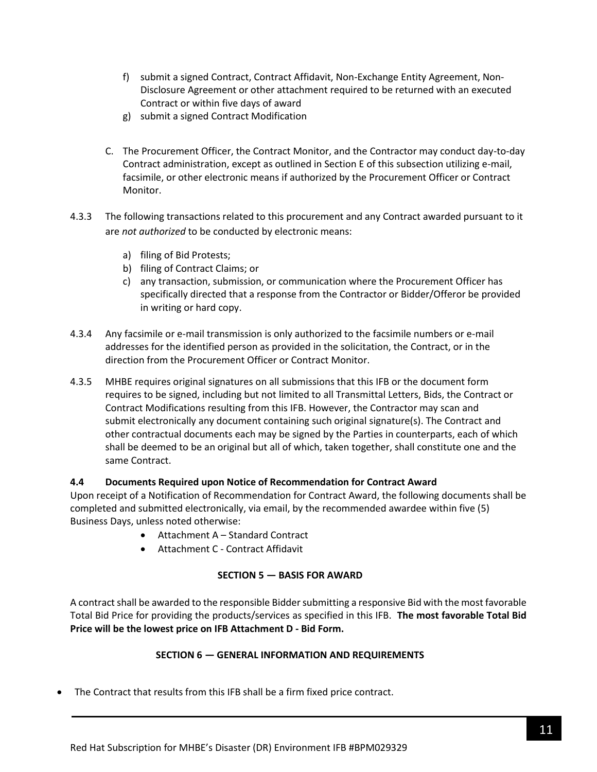- f) submit a signed Contract, Contract Affidavit, Non-Exchange Entity Agreement, Non-Disclosure Agreement or other attachment required to be returned with an executed Contract or within five days of award
- g) submit a signed Contract Modification
- C. The Procurement Officer, the Contract Monitor, and the Contractor may conduct day-to-day Contract administration, except as outlined in Section E of this subsection utilizing e-mail, facsimile, or other electronic means if authorized by the Procurement Officer or Contract Monitor.
- 4.3.3 The following transactions related to this procurement and any Contract awarded pursuant to it are *not authorized* to be conducted by electronic means:
	- a) filing of Bid Protests;
	- b) filing of Contract Claims; or
	- c) any transaction, submission, or communication where the Procurement Officer has specifically directed that a response from the Contractor or Bidder/Offeror be provided in writing or hard copy.
- 4.3.4 Any facsimile or e-mail transmission is only authorized to the facsimile numbers or e-mail addresses for the identified person as provided in the solicitation, the Contract, or in the direction from the Procurement Officer or Contract Monitor.
- 4.3.5 MHBE requires original signatures on all submissions that this IFB or the document form requires to be signed, including but not limited to all Transmittal Letters, Bids, the Contract or Contract Modifications resulting from this IFB. However, the Contractor may scan and submit electronically any document containing such original signature(s). The Contract and other contractual documents each may be signed by the Parties in counterparts, each of which shall be deemed to be an original but all of which, taken together, shall constitute one and the same Contract.

## **4.4 Documents Required upon Notice of Recommendation for Contract Award**

Upon receipt of a Notification of Recommendation for Contract Award, the following documents shall be completed and submitted electronically, via email, by the recommended awardee within five (5) Business Days, unless noted otherwise:

- Attachment A Standard Contract
- Attachment C Contract Affidavit

## **SECTION 5 — BASIS FOR AWARD**

<span id="page-10-0"></span>A contract shall be awarded to the responsible Bidder submitting a responsive Bid with the most favorable Total Bid Price for providing the products/services as specified in this IFB. **The most favorable Total Bid Price will be the lowest price on IFB Attachment D - Bid Form.**

## **SECTION 6 — GENERAL INFORMATION AND REQUIREMENTS**

<span id="page-10-1"></span>• The Contract that results from this IFB shall be a firm fixed price contract.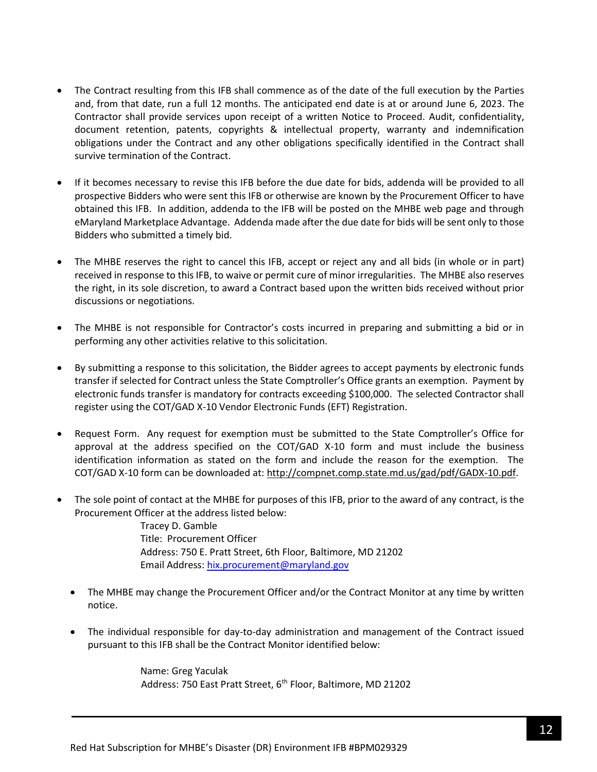- The Contract resulting from this IFB shall commence as of the date of the full execution by the Parties and, from that date, run a full 12 months. The anticipated end date is at or around June 6, 2023. The Contractor shall provide services upon receipt of a written Notice to Proceed. Audit, confidentiality, document retention, patents, copyrights & intellectual property, warranty and indemnification obligations under the Contract and any other obligations specifically identified in the Contract shall survive termination of the Contract.
- If it becomes necessary to revise this IFB before the due date for bids, addenda will be provided to all prospective Bidders who were sent this IFB or otherwise are known by the Procurement Officer to have obtained this IFB. In addition, addenda to the IFB will be posted on the MHBE web page and through eMaryland Marketplace Advantage. Addenda made after the due date for bids will be sent only to those Bidders who submitted a timely bid.
- The MHBE reserves the right to cancel this IFB, accept or reject any and all bids (in whole or in part) received in response to this IFB, to waive or permit cure of minor irregularities. The MHBE also reserves the right, in its sole discretion, to award a Contract based upon the written bids received without prior discussions or negotiations.
- The MHBE is not responsible for Contractor's costs incurred in preparing and submitting a bid or in performing any other activities relative to this solicitation.
- By submitting a response to this solicitation, the Bidder agrees to accept payments by electronic funds transfer if selected for Contract unless the State Comptroller's Office grants an exemption. Payment by electronic funds transfer is mandatory for contracts exceeding \$100,000. The selected Contractor shall register using the COT/GAD X-10 Vendor Electronic Funds (EFT) Registration.
- Request Form. Any request for exemption must be submitted to the State Comptroller's Office for approval at the address specified on the COT/GAD X-10 form and must include the business identification information as stated on the form and include the reason for the exemption. The COT/GAD X-10 form can be downloaded at[: http://compnet.comp.state.md.us/gad/pdf/GADX-10.pdf.](http://compnet.comp.state.md.us/gad/pdf/GADX-10.pdf)
- The sole point of contact at the MHBE for purposes of this IFB, prior to the award of any contract, is the Procurement Officer at the address listed below:

Tracey D. Gamble Title: Procurement Officer Address: 750 E. Pratt Street, 6th Floor, Baltimore, MD 21202 Email Address: [hix.procurement@maryland.gov](mailto:hix.procurement@maryland.gov)

- The MHBE may change the Procurement Officer and/or the Contract Monitor at any time by written notice.
- The individual responsible for day-to-day administration and management of the Contract issued pursuant to this IFB shall be the Contract Monitor identified below:

Name: Greg Yaculak Address: 750 East Pratt Street, 6<sup>th</sup> Floor, Baltimore, MD 21202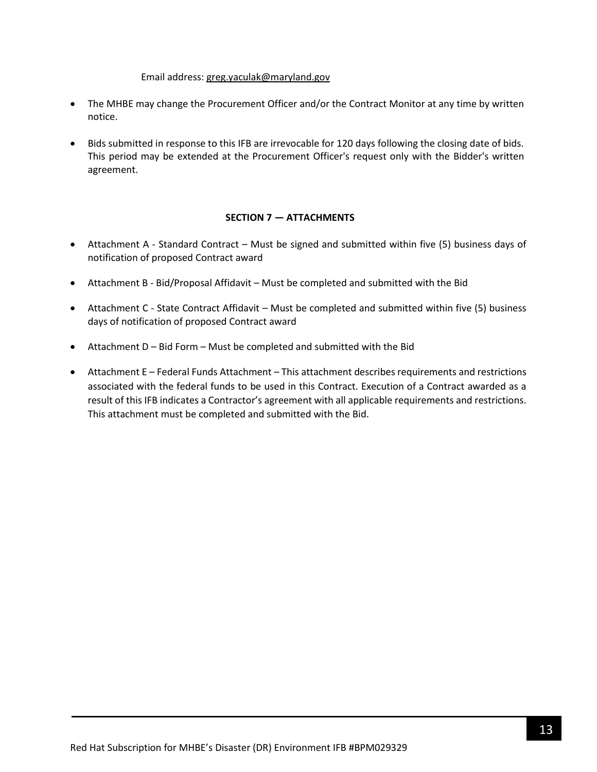### Email address: [greg.yaculak@maryland.gov](mailto:greg.yaculak@maryland.gov)

- The MHBE may change the Procurement Officer and/or the Contract Monitor at any time by written notice.
- Bids submitted in response to this IFB are irrevocable for 120 days following the closing date of bids. This period may be extended at the Procurement Officer's request only with the Bidder's written agreement.

### **SECTION 7 — ATTACHMENTS**

- <span id="page-12-0"></span>• Attachment A - Standard Contract – Must be signed and submitted within five (5) business days of notification of proposed Contract award
- Attachment B Bid/Proposal Affidavit Must be completed and submitted with the Bid
- Attachment C State Contract Affidavit Must be completed and submitted within five (5) business days of notification of proposed Contract award
- Attachment D Bid Form Must be completed and submitted with the Bid
- Attachment E Federal Funds Attachment This attachment describes requirements and restrictions associated with the federal funds to be used in this Contract. Execution of a Contract awarded as a result of this IFB indicates a Contractor's agreement with all applicable requirements and restrictions. This attachment must be completed and submitted with the Bid.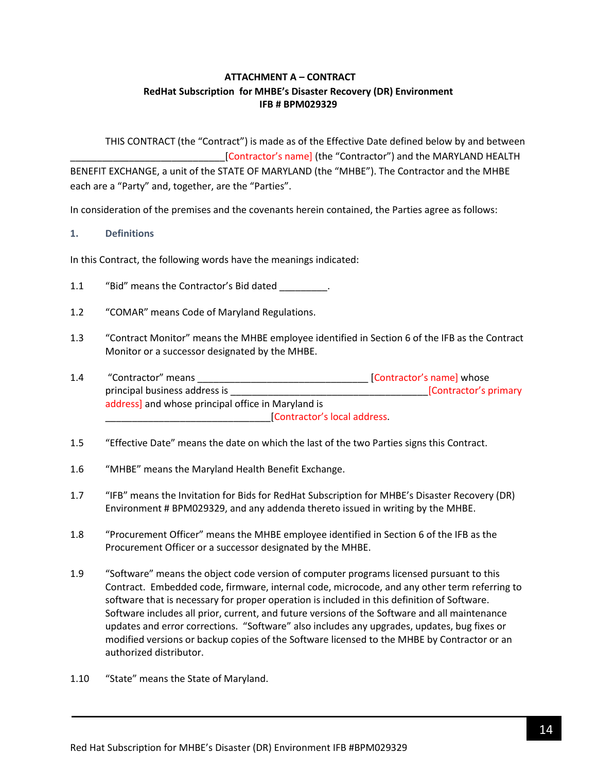## **ATTACHMENT A – CONTRACT RedHat Subscription for MHBE's Disaster Recovery (DR) Environment IFB # BPM029329**

<span id="page-13-0"></span>THIS CONTRACT (the "Contract") is made as of the Effective Date defined below by and between [Contractor's name] (the "Contractor") and the MARYLAND HEALTH BENEFIT EXCHANGE, a unit of the STATE OF MARYLAND (the "MHBE"). The Contractor and the MHBE each are a "Party" and, together, are the "Parties".

In consideration of the premises and the covenants herein contained, the Parties agree as follows:

### **1. Definitions**

In this Contract, the following words have the meanings indicated:

- 1.1 "Bid" means the Contractor's Bid dated \_\_\_\_\_\_\_\_.
- 1.2 "COMAR" means Code of Maryland Regulations.
- 1.3 "Contract Monitor" means the MHBE employee identified in Section 6 of the IFB as the Contract Monitor or a successor designated by the MHBE.
- 1.4 "Contractor" means \_\_\_\_\_\_\_\_\_\_\_\_\_\_\_\_\_\_\_\_\_\_\_\_\_\_\_\_\_\_\_\_ [Contractor's name] whose principal business address is \_\_\_\_\_\_\_\_\_\_\_\_\_\_\_\_\_\_\_\_\_\_\_\_\_\_\_\_\_\_\_\_\_\_\_\_\_[Contractor's primary address] and whose principal office in Maryland is \_\_\_\_\_\_\_\_\_\_\_\_\_\_\_\_\_\_\_\_\_\_\_\_\_\_\_\_\_\_\_[Contractor's local address.
- 1.5 "Effective Date" means the date on which the last of the two Parties signs this Contract.
- 1.6 "MHBE" means the Maryland Health Benefit Exchange.
- 1.7 "IFB" means the Invitation for Bids for RedHat Subscription for MHBE's Disaster Recovery (DR) Environment # BPM029329, and any addenda thereto issued in writing by the MHBE.
- 1.8 "Procurement Officer" means the MHBE employee identified in Section 6 of the IFB as the Procurement Officer or a successor designated by the MHBE.
- 1.9 "Software" means the object code version of computer programs licensed pursuant to this Contract. Embedded code, firmware, internal code, microcode, and any other term referring to software that is necessary for proper operation is included in this definition of Software. Software includes all prior, current, and future versions of the Software and all maintenance updates and error corrections. "Software" also includes any upgrades, updates, bug fixes or modified versions or backup copies of the Software licensed to the MHBE by Contractor or an authorized distributor.
- 1.10 "State" means the State of Maryland.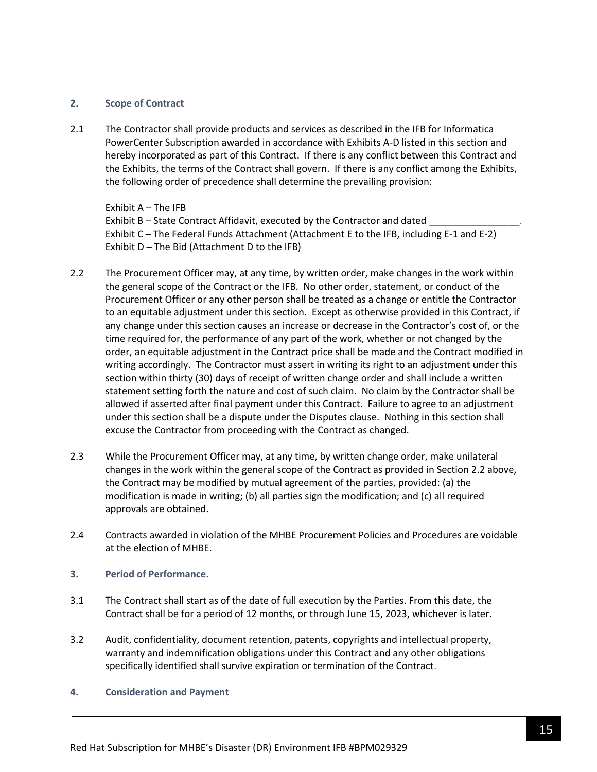#### **2. Scope of Contract**

2.1 The Contractor shall provide products and services as described in the IFB for Informatica PowerCenter Subscription awarded in accordance with Exhibits A-D listed in this section and hereby incorporated as part of this Contract. If there is any conflict between this Contract and the Exhibits, the terms of the Contract shall govern. If there is any conflict among the Exhibits, the following order of precedence shall determine the prevailing provision:

Exhibit A – The IFB Exhibit B – State Contract Affidavit, executed by the Contractor and dated Exhibit C – The Federal Funds Attachment (Attachment E to the IFB, including E-1 and E-2) Exhibit D – The Bid (Attachment D to the IFB)

- 2.2 The Procurement Officer may, at any time, by written order, make changes in the work within the general scope of the Contract or the IFB. No other order, statement, or conduct of the Procurement Officer or any other person shall be treated as a change or entitle the Contractor to an equitable adjustment under this section. Except as otherwise provided in this Contract, if any change under this section causes an increase or decrease in the Contractor's cost of, or the time required for, the performance of any part of the work, whether or not changed by the order, an equitable adjustment in the Contract price shall be made and the Contract modified in writing accordingly. The Contractor must assert in writing its right to an adjustment under this section within thirty (30) days of receipt of written change order and shall include a written statement setting forth the nature and cost of such claim. No claim by the Contractor shall be allowed if asserted after final payment under this Contract. Failure to agree to an adjustment under this section shall be a dispute under the Disputes clause. Nothing in this section shall excuse the Contractor from proceeding with the Contract as changed.
- 2.3 While the Procurement Officer may, at any time, by written change order, make unilateral changes in the work within the general scope of the Contract as provided in Section 2.2 above, the Contract may be modified by mutual agreement of the parties, provided: (a) the modification is made in writing; (b) all parties sign the modification; and (c) all required approvals are obtained.
- 2.4 Contracts awarded in violation of the MHBE Procurement Policies and Procedures are voidable at the election of MHBE.
- **3. Period of Performance.**
- 3.1 The Contract shall start as of the date of full execution by the Parties. From this date, the Contract shall be for a period of 12 months, or through June 15, 2023, whichever is later.
- 3.2 Audit, confidentiality, document retention, patents, copyrights and intellectual property, warranty and indemnification obligations under this Contract and any other obligations specifically identified shall survive expiration or termination of the Contract.
- **4. Consideration and Payment**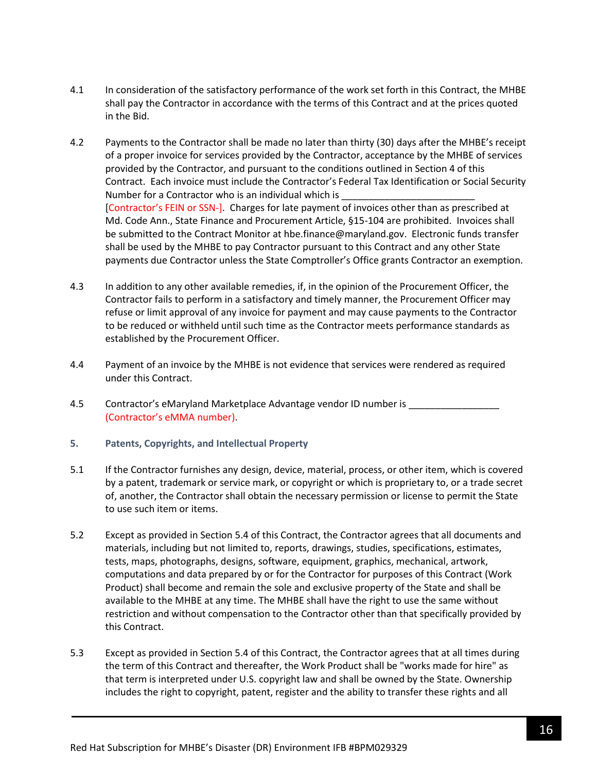- 4.1 In consideration of the satisfactory performance of the work set forth in this Contract, the MHBE shall pay the Contractor in accordance with the terms of this Contract and at the prices quoted in the Bid.
- 4.2 Payments to the Contractor shall be made no later than thirty (30) days after the MHBE's receipt of a proper invoice for services provided by the Contractor, acceptance by the MHBE of services provided by the Contractor, and pursuant to the conditions outlined in Section 4 of this Contract. Each invoice must include the Contractor's Federal Tax Identification or Social Security Number for a Contractor who is an individual which is [Contractor's FEIN or SSN-]. Charges for late payment of invoices other than as prescribed at Md. Code Ann., State Finance and Procurement Article, §15-104 are prohibited. Invoices shall be submitted to the Contract Monitor at hbe.finance@maryland.gov. Electronic funds transfer shall be used by the MHBE to pay Contractor pursuant to this Contract and any other State payments due Contractor unless the State Comptroller's Office grants Contractor an exemption.
- 4.3 In addition to any other available remedies, if, in the opinion of the Procurement Officer, the Contractor fails to perform in a satisfactory and timely manner, the Procurement Officer may refuse or limit approval of any invoice for payment and may cause payments to the Contractor to be reduced or withheld until such time as the Contractor meets performance standards as established by the Procurement Officer.
- 4.4 Payment of an invoice by the MHBE is not evidence that services were rendered as required under this Contract.
- 4.5 Contractor's eMaryland Marketplace Advantage vendor ID number is \_\_\_\_\_\_\_\_\_\_ (Contractor's eMMA number).
- **5. Patents, Copyrights, and Intellectual Property**
- 5.1 If the Contractor furnishes any design, device, material, process, or other item, which is covered by a patent, trademark or service mark, or copyright or which is proprietary to, or a trade secret of, another, the Contractor shall obtain the necessary permission or license to permit the State to use such item or items.
- 5.2 Except as provided in Section 5.4 of this Contract, the Contractor agrees that all documents and materials, including but not limited to, reports, drawings, studies, specifications, estimates, tests, maps, photographs, designs, software, equipment, graphics, mechanical, artwork, computations and data prepared by or for the Contractor for purposes of this Contract (Work Product) shall become and remain the sole and exclusive property of the State and shall be available to the MHBE at any time. The MHBE shall have the right to use the same without restriction and without compensation to the Contractor other than that specifically provided by this Contract.
- 5.3 Except as provided in Section 5.4 of this Contract, the Contractor agrees that at all times during the term of this Contract and thereafter, the Work Product shall be "works made for hire" as that term is interpreted under U.S. copyright law and shall be owned by the State. Ownership includes the right to copyright, patent, register and the ability to transfer these rights and all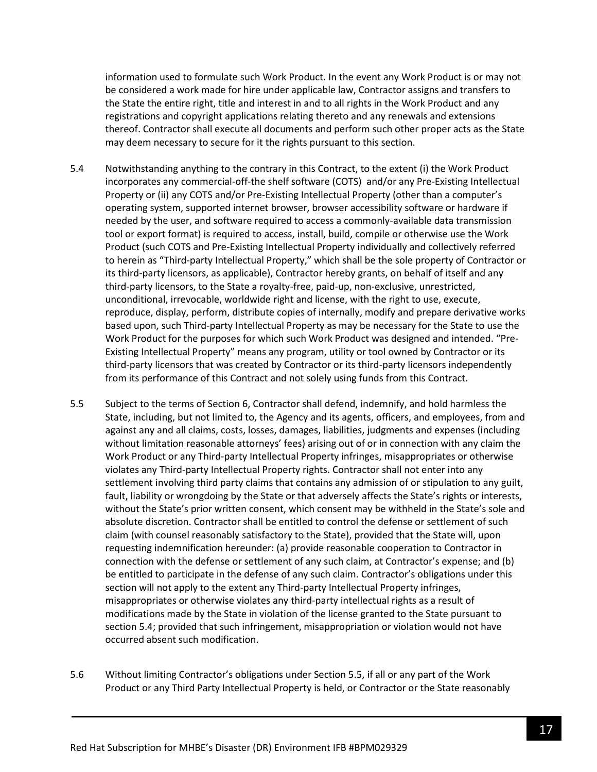information used to formulate such Work Product. In the event any Work Product is or may not be considered a work made for hire under applicable law, Contractor assigns and transfers to the State the entire right, title and interest in and to all rights in the Work Product and any registrations and copyright applications relating thereto and any renewals and extensions thereof. Contractor shall execute all documents and perform such other proper acts as the State may deem necessary to secure for it the rights pursuant to this section.

- 5.4 Notwithstanding anything to the contrary in this Contract, to the extent (i) the Work Product incorporates any commercial-off-the shelf software (COTS) and/or any Pre-Existing Intellectual Property or (ii) any COTS and/or Pre-Existing Intellectual Property (other than a computer's operating system, supported internet browser, browser accessibility software or hardware if needed by the user, and software required to access a commonly-available data transmission tool or export format) is required to access, install, build, compile or otherwise use the Work Product (such COTS and Pre-Existing Intellectual Property individually and collectively referred to herein as "Third-party Intellectual Property," which shall be the sole property of Contractor or its third-party licensors, as applicable), Contractor hereby grants, on behalf of itself and any third-party licensors, to the State a royalty-free, paid-up, non-exclusive, unrestricted, unconditional, irrevocable, worldwide right and license, with the right to use, execute, reproduce, display, perform, distribute copies of internally, modify and prepare derivative works based upon, such Third-party Intellectual Property as may be necessary for the State to use the Work Product for the purposes for which such Work Product was designed and intended. "Pre-Existing Intellectual Property" means any program, utility or tool owned by Contractor or its third-party licensors that was created by Contractor or its third-party licensors independently from its performance of this Contract and not solely using funds from this Contract.
- 5.5 Subject to the terms of Section 6, Contractor shall defend, indemnify, and hold harmless the State, including, but not limited to, the Agency and its agents, officers, and employees, from and against any and all claims, costs, losses, damages, liabilities, judgments and expenses (including without limitation reasonable attorneys' fees) arising out of or in connection with any claim the Work Product or any Third-party Intellectual Property infringes, misappropriates or otherwise violates any Third-party Intellectual Property rights. Contractor shall not enter into any settlement involving third party claims that contains any admission of or stipulation to any guilt, fault, liability or wrongdoing by the State or that adversely affects the State's rights or interests, without the State's prior written consent, which consent may be withheld in the State's sole and absolute discretion. Contractor shall be entitled to control the defense or settlement of such claim (with counsel reasonably satisfactory to the State), provided that the State will, upon requesting indemnification hereunder: (a) provide reasonable cooperation to Contractor in connection with the defense or settlement of any such claim, at Contractor's expense; and (b) be entitled to participate in the defense of any such claim. Contractor's obligations under this section will not apply to the extent any Third-party Intellectual Property infringes, misappropriates or otherwise violates any third-party intellectual rights as a result of modifications made by the State in violation of the license granted to the State pursuant to section 5.4; provided that such infringement, misappropriation or violation would not have occurred absent such modification.
- 5.6 Without limiting Contractor's obligations under Section 5.5, if all or any part of the Work Product or any Third Party Intellectual Property is held, or Contractor or the State reasonably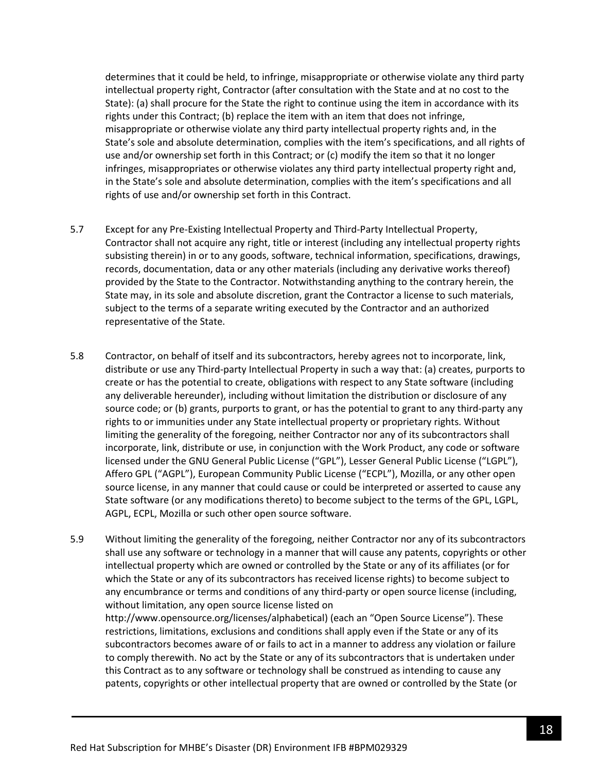determines that it could be held, to infringe, misappropriate or otherwise violate any third party intellectual property right, Contractor (after consultation with the State and at no cost to the State): (a) shall procure for the State the right to continue using the item in accordance with its rights under this Contract; (b) replace the item with an item that does not infringe, misappropriate or otherwise violate any third party intellectual property rights and, in the State's sole and absolute determination, complies with the item's specifications, and all rights of use and/or ownership set forth in this Contract; or (c) modify the item so that it no longer infringes, misappropriates or otherwise violates any third party intellectual property right and, in the State's sole and absolute determination, complies with the item's specifications and all rights of use and/or ownership set forth in this Contract.

- 5.7 Except for any Pre-Existing Intellectual Property and Third-Party Intellectual Property, Contractor shall not acquire any right, title or interest (including any intellectual property rights subsisting therein) in or to any goods, software, technical information, specifications, drawings, records, documentation, data or any other materials (including any derivative works thereof) provided by the State to the Contractor. Notwithstanding anything to the contrary herein, the State may, in its sole and absolute discretion, grant the Contractor a license to such materials, subject to the terms of a separate writing executed by the Contractor and an authorized representative of the State.
- 5.8 Contractor, on behalf of itself and its subcontractors, hereby agrees not to incorporate, link, distribute or use any Third-party Intellectual Property in such a way that: (a) creates, purports to create or has the potential to create, obligations with respect to any State software (including any deliverable hereunder), including without limitation the distribution or disclosure of any source code; or (b) grants, purports to grant, or has the potential to grant to any third-party any rights to or immunities under any State intellectual property or proprietary rights. Without limiting the generality of the foregoing, neither Contractor nor any of its subcontractors shall incorporate, link, distribute or use, in conjunction with the Work Product, any code or software licensed under the GNU General Public License ("GPL"), Lesser General Public License ("LGPL"), Affero GPL ("AGPL"), European Community Public License ("ECPL"), Mozilla, or any other open source license, in any manner that could cause or could be interpreted or asserted to cause any State software (or any modifications thereto) to become subject to the terms of the GPL, LGPL, AGPL, ECPL, Mozilla or such other open source software.
- 5.9 Without limiting the generality of the foregoing, neither Contractor nor any of its subcontractors shall use any software or technology in a manner that will cause any patents, copyrights or other intellectual property which are owned or controlled by the State or any of its affiliates (or for which the State or any of its subcontractors has received license rights) to become subject to any encumbrance or terms and conditions of any third-party or open source license (including, without limitation, any open source license listed on http://www.opensource.org/licenses/alphabetical) (each an "Open Source License"). These restrictions, limitations, exclusions and conditions shall apply even if the State or any of its subcontractors becomes aware of or fails to act in a manner to address any violation or failure to comply therewith. No act by the State or any of its subcontractors that is undertaken under this Contract as to any software or technology shall be construed as intending to cause any patents, copyrights or other intellectual property that are owned or controlled by the State (or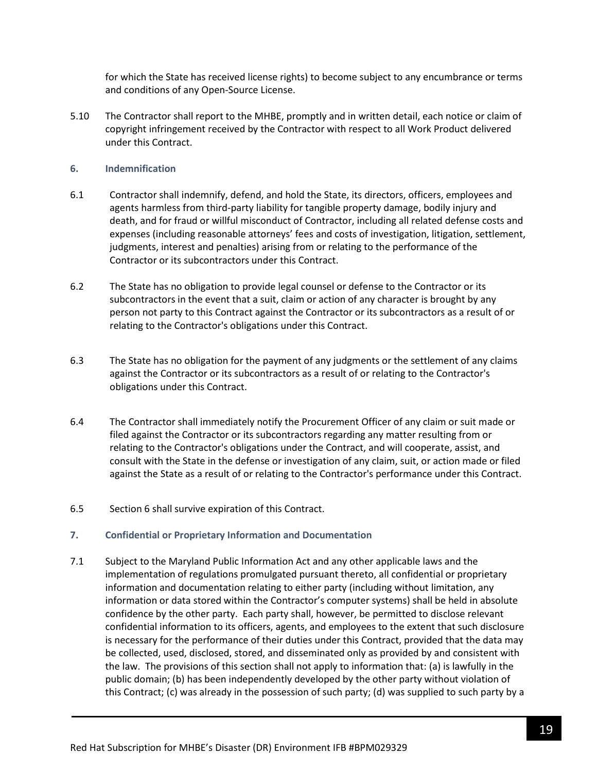for which the State has received license rights) to become subject to any encumbrance or terms and conditions of any Open-Source License.

5.10 The Contractor shall report to the MHBE, promptly and in written detail, each notice or claim of copyright infringement received by the Contractor with respect to all Work Product delivered under this Contract.

#### **6. Indemnification**

- 6.1 Contractor shall indemnify, defend, and hold the State, its directors, officers, employees and agents harmless from third-party liability for tangible property damage, bodily injury and death, and for fraud or willful misconduct of Contractor, including all related defense costs and expenses (including reasonable attorneys' fees and costs of investigation, litigation, settlement, judgments, interest and penalties) arising from or relating to the performance of the Contractor or its subcontractors under this Contract.
- 6.2 The State has no obligation to provide legal counsel or defense to the Contractor or its subcontractors in the event that a suit, claim or action of any character is brought by any person not party to this Contract against the Contractor or its subcontractors as a result of or relating to the Contractor's obligations under this Contract.
- 6.3 The State has no obligation for the payment of any judgments or the settlement of any claims against the Contractor or its subcontractors as a result of or relating to the Contractor's obligations under this Contract.
- 6.4 The Contractor shall immediately notify the Procurement Officer of any claim or suit made or filed against the Contractor or its subcontractors regarding any matter resulting from or relating to the Contractor's obligations under the Contract, and will cooperate, assist, and consult with the State in the defense or investigation of any claim, suit, or action made or filed against the State as a result of or relating to the Contractor's performance under this Contract.
- 6.5 Section 6 shall survive expiration of this Contract.

#### **7. Confidential or Proprietary Information and Documentation**

7.1 Subject to the Maryland Public Information Act and any other applicable laws and the implementation of regulations promulgated pursuant thereto, all confidential or proprietary information and documentation relating to either party (including without limitation, any information or data stored within the Contractor's computer systems) shall be held in absolute confidence by the other party. Each party shall, however, be permitted to disclose relevant confidential information to its officers, agents, and employees to the extent that such disclosure is necessary for the performance of their duties under this Contract, provided that the data may be collected, used, disclosed, stored, and disseminated only as provided by and consistent with the law. The provisions of this section shall not apply to information that: (a) is lawfully in the public domain; (b) has been independently developed by the other party without violation of this Contract; (c) was already in the possession of such party; (d) was supplied to such party by a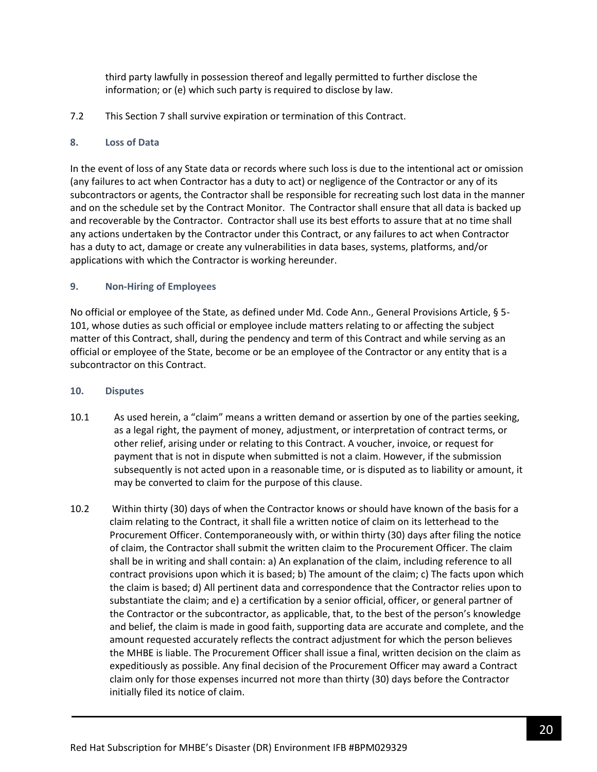third party lawfully in possession thereof and legally permitted to further disclose the information; or (e) which such party is required to disclose by law.

7.2 This Section 7 shall survive expiration or termination of this Contract.

### **8. Loss of Data**

In the event of loss of any State data or records where such loss is due to the intentional act or omission (any failures to act when Contractor has a duty to act) or negligence of the Contractor or any of its subcontractors or agents, the Contractor shall be responsible for recreating such lost data in the manner and on the schedule set by the Contract Monitor. The Contractor shall ensure that all data is backed up and recoverable by the Contractor. Contractor shall use its best efforts to assure that at no time shall any actions undertaken by the Contractor under this Contract, or any failures to act when Contractor has a duty to act, damage or create any vulnerabilities in data bases, systems, platforms, and/or applications with which the Contractor is working hereunder.

### **9. Non-Hiring of Employees**

No official or employee of the State, as defined under Md. Code Ann., General Provisions Article, § 5- 101, whose duties as such official or employee include matters relating to or affecting the subject matter of this Contract, shall, during the pendency and term of this Contract and while serving as an official or employee of the State, become or be an employee of the Contractor or any entity that is a subcontractor on this Contract.

### **10. Disputes**

- 10.1 As used herein, a "claim" means a written demand or assertion by one of the parties seeking, as a legal right, the payment of money, adjustment, or interpretation of contract terms, or other relief, arising under or relating to this Contract. A voucher, invoice, or request for payment that is not in dispute when submitted is not a claim. However, if the submission subsequently is not acted upon in a reasonable time, or is disputed as to liability or amount, it may be converted to claim for the purpose of this clause.
- 10.2 Within thirty (30) days of when the Contractor knows or should have known of the basis for a claim relating to the Contract, it shall file a written notice of claim on its letterhead to the Procurement Officer. Contemporaneously with, or within thirty (30) days after filing the notice of claim, the Contractor shall submit the written claim to the Procurement Officer. The claim shall be in writing and shall contain: a) An explanation of the claim, including reference to all contract provisions upon which it is based; b) The amount of the claim; c) The facts upon which the claim is based; d) All pertinent data and correspondence that the Contractor relies upon to substantiate the claim; and e) a certification by a senior official, officer, or general partner of the Contractor or the subcontractor, as applicable, that, to the best of the person's knowledge and belief, the claim is made in good faith, supporting data are accurate and complete, and the amount requested accurately reflects the contract adjustment for which the person believes the MHBE is liable. The Procurement Officer shall issue a final, written decision on the claim as expeditiously as possible. Any final decision of the Procurement Officer may award a Contract claim only for those expenses incurred not more than thirty (30) days before the Contractor initially filed its notice of claim.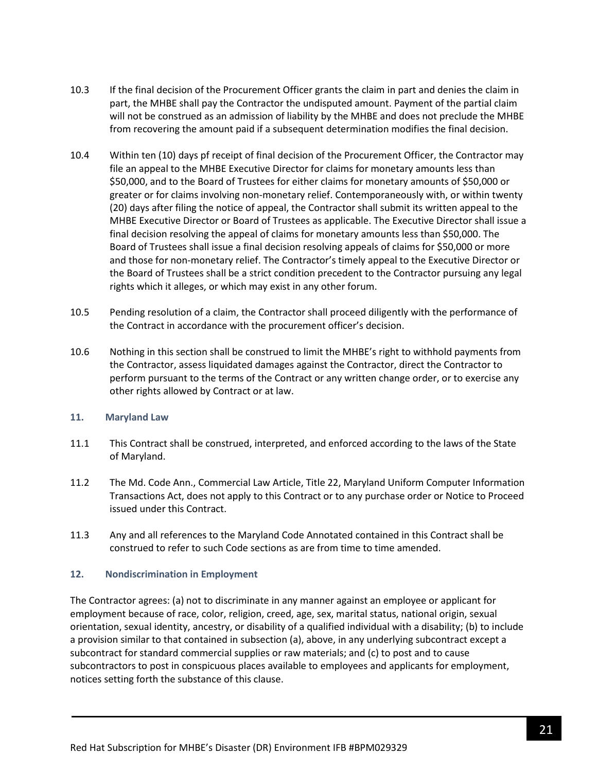- 10.3 If the final decision of the Procurement Officer grants the claim in part and denies the claim in part, the MHBE shall pay the Contractor the undisputed amount. Payment of the partial claim will not be construed as an admission of liability by the MHBE and does not preclude the MHBE from recovering the amount paid if a subsequent determination modifies the final decision.
- 10.4 Within ten (10) days pf receipt of final decision of the Procurement Officer, the Contractor may file an appeal to the MHBE Executive Director for claims for monetary amounts less than \$50,000, and to the Board of Trustees for either claims for monetary amounts of \$50,000 or greater or for claims involving non-monetary relief. Contemporaneously with, or within twenty (20) days after filing the notice of appeal, the Contractor shall submit its written appeal to the MHBE Executive Director or Board of Trustees as applicable. The Executive Director shall issue a final decision resolving the appeal of claims for monetary amounts less than \$50,000. The Board of Trustees shall issue a final decision resolving appeals of claims for \$50,000 or more and those for non-monetary relief. The Contractor's timely appeal to the Executive Director or the Board of Trustees shall be a strict condition precedent to the Contractor pursuing any legal rights which it alleges, or which may exist in any other forum.
- 10.5 Pending resolution of a claim, the Contractor shall proceed diligently with the performance of the Contract in accordance with the procurement officer's decision.
- 10.6 Nothing in this section shall be construed to limit the MHBE's right to withhold payments from the Contractor, assess liquidated damages against the Contractor, direct the Contractor to perform pursuant to the terms of the Contract or any written change order, or to exercise any other rights allowed by Contract or at law.

### **11. Maryland Law**

- 11.1 This Contract shall be construed, interpreted, and enforced according to the laws of the State of Maryland.
- 11.2 The Md. Code Ann., Commercial Law Article, Title 22, Maryland Uniform Computer Information Transactions Act, does not apply to this Contract or to any purchase order or Notice to Proceed issued under this Contract.
- 11.3 Any and all references to the Maryland Code Annotated contained in this Contract shall be construed to refer to such Code sections as are from time to time amended.

### **12. Nondiscrimination in Employment**

The Contractor agrees: (a) not to discriminate in any manner against an employee or applicant for employment because of race, color, religion, creed, age, sex, marital status, national origin, sexual orientation, sexual identity, ancestry, or disability of a qualified individual with a disability; (b) to include a provision similar to that contained in subsection (a), above, in any underlying subcontract except a subcontract for standard commercial supplies or raw materials; and (c) to post and to cause subcontractors to post in conspicuous places available to employees and applicants for employment, notices setting forth the substance of this clause.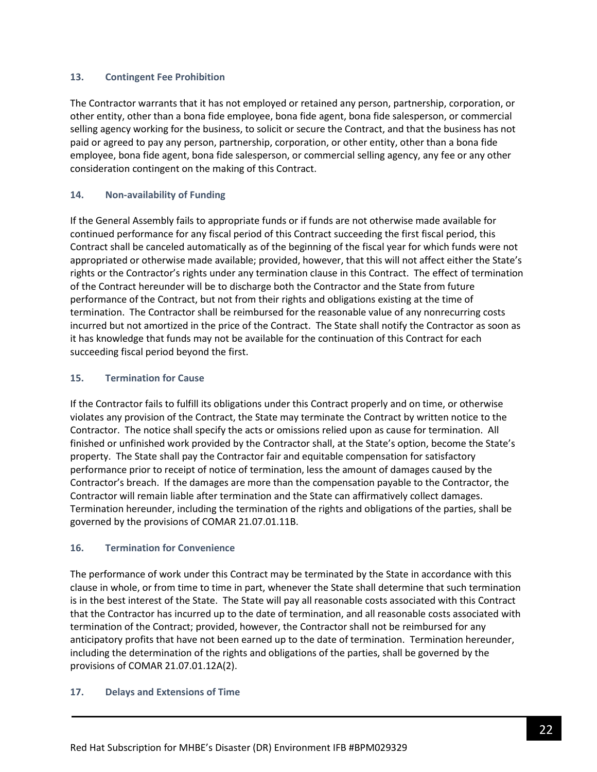### **13. Contingent Fee Prohibition**

The Contractor warrants that it has not employed or retained any person, partnership, corporation, or other entity, other than a bona fide employee, bona fide agent, bona fide salesperson, or commercial selling agency working for the business, to solicit or secure the Contract, and that the business has not paid or agreed to pay any person, partnership, corporation, or other entity, other than a bona fide employee, bona fide agent, bona fide salesperson, or commercial selling agency, any fee or any other consideration contingent on the making of this Contract.

### **14. Non-availability of Funding**

If the General Assembly fails to appropriate funds or if funds are not otherwise made available for continued performance for any fiscal period of this Contract succeeding the first fiscal period, this Contract shall be canceled automatically as of the beginning of the fiscal year for which funds were not appropriated or otherwise made available; provided, however, that this will not affect either the State's rights or the Contractor's rights under any termination clause in this Contract. The effect of termination of the Contract hereunder will be to discharge both the Contractor and the State from future performance of the Contract, but not from their rights and obligations existing at the time of termination. The Contractor shall be reimbursed for the reasonable value of any nonrecurring costs incurred but not amortized in the price of the Contract. The State shall notify the Contractor as soon as it has knowledge that funds may not be available for the continuation of this Contract for each succeeding fiscal period beyond the first.

### **15. Termination for Cause**

If the Contractor fails to fulfill its obligations under this Contract properly and on time, or otherwise violates any provision of the Contract, the State may terminate the Contract by written notice to the Contractor. The notice shall specify the acts or omissions relied upon as cause for termination. All finished or unfinished work provided by the Contractor shall, at the State's option, become the State's property. The State shall pay the Contractor fair and equitable compensation for satisfactory performance prior to receipt of notice of termination, less the amount of damages caused by the Contractor's breach. If the damages are more than the compensation payable to the Contractor, the Contractor will remain liable after termination and the State can affirmatively collect damages. Termination hereunder, including the termination of the rights and obligations of the parties, shall be governed by the provisions of COMAR 21.07.01.11B.

### **16. Termination for Convenience**

The performance of work under this Contract may be terminated by the State in accordance with this clause in whole, or from time to time in part, whenever the State shall determine that such termination is in the best interest of the State. The State will pay all reasonable costs associated with this Contract that the Contractor has incurred up to the date of termination, and all reasonable costs associated with termination of the Contract; provided, however, the Contractor shall not be reimbursed for any anticipatory profits that have not been earned up to the date of termination. Termination hereunder, including the determination of the rights and obligations of the parties, shall be governed by the provisions of COMAR 21.07.01.12A(2).

#### **17. Delays and Extensions of Time**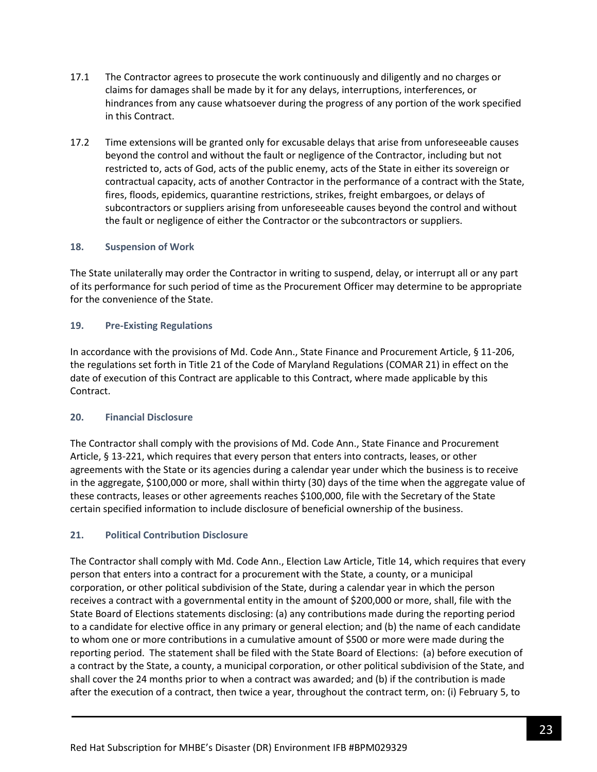- 17.1 The Contractor agrees to prosecute the work continuously and diligently and no charges or claims for damages shall be made by it for any delays, interruptions, interferences, or hindrances from any cause whatsoever during the progress of any portion of the work specified in this Contract.
- 17.2 Time extensions will be granted only for excusable delays that arise from unforeseeable causes beyond the control and without the fault or negligence of the Contractor, including but not restricted to, acts of God, acts of the public enemy, acts of the State in either its sovereign or contractual capacity, acts of another Contractor in the performance of a contract with the State, fires, floods, epidemics, quarantine restrictions, strikes, freight embargoes, or delays of subcontractors or suppliers arising from unforeseeable causes beyond the control and without the fault or negligence of either the Contractor or the subcontractors or suppliers.

### **18. Suspension of Work**

The State unilaterally may order the Contractor in writing to suspend, delay, or interrupt all or any part of its performance for such period of time as the Procurement Officer may determine to be appropriate for the convenience of the State.

### **19. Pre-Existing Regulations**

In accordance with the provisions of Md. Code Ann., State Finance and Procurement Article, § 11-206, the regulations set forth in Title 21 of the Code of Maryland Regulations (COMAR 21) in effect on the date of execution of this Contract are applicable to this Contract, where made applicable by this Contract.

### **20. Financial Disclosure**

The Contractor shall comply with the provisions of Md. Code Ann., State Finance and Procurement Article, § 13-221, which requires that every person that enters into contracts, leases, or other agreements with the State or its agencies during a calendar year under which the business is to receive in the aggregate, \$100,000 or more, shall within thirty (30) days of the time when the aggregate value of these contracts, leases or other agreements reaches \$100,000, file with the Secretary of the State certain specified information to include disclosure of beneficial ownership of the business.

### **21. Political Contribution Disclosure**

The Contractor shall comply with Md. Code Ann., Election Law Article, Title 14, which requires that every person that enters into a contract for a procurement with the State, a county, or a municipal corporation, or other political subdivision of the State, during a calendar year in which the person receives a contract with a governmental entity in the amount of \$200,000 or more, shall, file with the State Board of Elections statements disclosing: (a) any contributions made during the reporting period to a candidate for elective office in any primary or general election; and (b) the name of each candidate to whom one or more contributions in a cumulative amount of \$500 or more were made during the reporting period. The statement shall be filed with the State Board of Elections: (a) before execution of a contract by the State, a county, a municipal corporation, or other political subdivision of the State, and shall cover the 24 months prior to when a contract was awarded; and (b) if the contribution is made after the execution of a contract, then twice a year, throughout the contract term, on: (i) February 5, to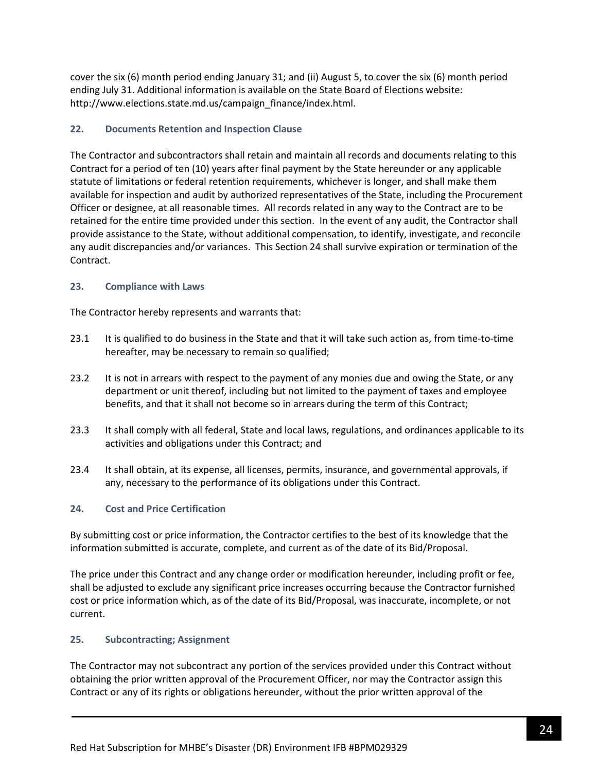cover the six (6) month period ending January 31; and (ii) August 5, to cover the six (6) month period ending July 31. Additional information is available on the State Board of Elections website: http://www.elections.state.md.us/campaign\_finance/index.html.

## **22. Documents Retention and Inspection Clause**

The Contractor and subcontractors shall retain and maintain all records and documents relating to this Contract for a period of ten (10) years after final payment by the State hereunder or any applicable statute of limitations or federal retention requirements, whichever is longer, and shall make them available for inspection and audit by authorized representatives of the State, including the Procurement Officer or designee, at all reasonable times. All records related in any way to the Contract are to be retained for the entire time provided under this section. In the event of any audit, the Contractor shall provide assistance to the State, without additional compensation, to identify, investigate, and reconcile any audit discrepancies and/or variances. This Section 24 shall survive expiration or termination of the Contract.

### **23. Compliance with Laws**

The Contractor hereby represents and warrants that:

- 23.1 It is qualified to do business in the State and that it will take such action as, from time-to-time hereafter, may be necessary to remain so qualified;
- 23.2 It is not in arrears with respect to the payment of any monies due and owing the State, or any department or unit thereof, including but not limited to the payment of taxes and employee benefits, and that it shall not become so in arrears during the term of this Contract;
- 23.3 It shall comply with all federal, State and local laws, regulations, and ordinances applicable to its activities and obligations under this Contract; and
- 23.4 It shall obtain, at its expense, all licenses, permits, insurance, and governmental approvals, if any, necessary to the performance of its obligations under this Contract.

## **24. Cost and Price Certification**

By submitting cost or price information, the Contractor certifies to the best of its knowledge that the information submitted is accurate, complete, and current as of the date of its Bid/Proposal.

The price under this Contract and any change order or modification hereunder, including profit or fee, shall be adjusted to exclude any significant price increases occurring because the Contractor furnished cost or price information which, as of the date of its Bid/Proposal, was inaccurate, incomplete, or not current.

### **25. Subcontracting; Assignment**

The Contractor may not subcontract any portion of the services provided under this Contract without obtaining the prior written approval of the Procurement Officer, nor may the Contractor assign this Contract or any of its rights or obligations hereunder, without the prior written approval of the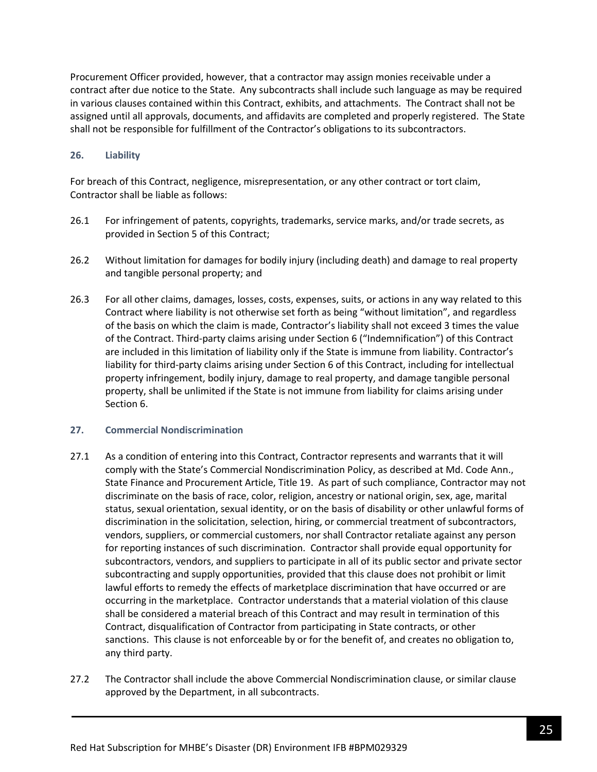Procurement Officer provided, however, that a contractor may assign monies receivable under a contract after due notice to the State. Any subcontracts shall include such language as may be required in various clauses contained within this Contract, exhibits, and attachments. The Contract shall not be assigned until all approvals, documents, and affidavits are completed and properly registered. The State shall not be responsible for fulfillment of the Contractor's obligations to its subcontractors.

### **26. Liability**

For breach of this Contract, negligence, misrepresentation, or any other contract or tort claim, Contractor shall be liable as follows:

- 26.1 For infringement of patents, copyrights, trademarks, service marks, and/or trade secrets, as provided in Section 5 of this Contract;
- 26.2 Without limitation for damages for bodily injury (including death) and damage to real property and tangible personal property; and
- 26.3 For all other claims, damages, losses, costs, expenses, suits, or actions in any way related to this Contract where liability is not otherwise set forth as being "without limitation", and regardless of the basis on which the claim is made, Contractor's liability shall not exceed 3 times the value of the Contract. Third-party claims arising under Section 6 ("Indemnification") of this Contract are included in this limitation of liability only if the State is immune from liability. Contractor's liability for third-party claims arising under Section 6 of this Contract, including for intellectual property infringement, bodily injury, damage to real property, and damage tangible personal property, shall be unlimited if the State is not immune from liability for claims arising under Section 6.

### **27. Commercial Nondiscrimination**

- 27.1 As a condition of entering into this Contract, Contractor represents and warrants that it will comply with the State's Commercial Nondiscrimination Policy, as described at Md. Code Ann., State Finance and Procurement Article, Title 19. As part of such compliance, Contractor may not discriminate on the basis of race, color, religion, ancestry or national origin, sex, age, marital status, sexual orientation, sexual identity, or on the basis of disability or other unlawful forms of discrimination in the solicitation, selection, hiring, or commercial treatment of subcontractors, vendors, suppliers, or commercial customers, nor shall Contractor retaliate against any person for reporting instances of such discrimination. Contractor shall provide equal opportunity for subcontractors, vendors, and suppliers to participate in all of its public sector and private sector subcontracting and supply opportunities, provided that this clause does not prohibit or limit lawful efforts to remedy the effects of marketplace discrimination that have occurred or are occurring in the marketplace. Contractor understands that a material violation of this clause shall be considered a material breach of this Contract and may result in termination of this Contract, disqualification of Contractor from participating in State contracts, or other sanctions. This clause is not enforceable by or for the benefit of, and creates no obligation to, any third party.
- 27.2 The Contractor shall include the above Commercial Nondiscrimination clause, or similar clause approved by the Department, in all subcontracts.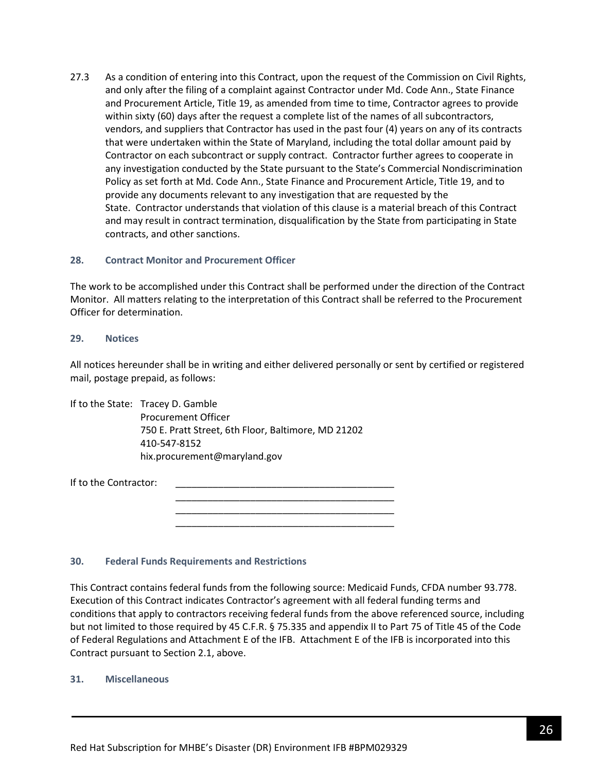27.3 As a condition of entering into this Contract, upon the request of the Commission on Civil Rights, and only after the filing of a complaint against Contractor under Md. Code Ann., State Finance and Procurement Article, Title 19, as amended from time to time, Contractor agrees to provide within sixty (60) days after the request a complete list of the names of all subcontractors, vendors, and suppliers that Contractor has used in the past four (4) years on any of its contracts that were undertaken within the State of Maryland, including the total dollar amount paid by Contractor on each subcontract or supply contract. Contractor further agrees to cooperate in any investigation conducted by the State pursuant to the State's Commercial Nondiscrimination Policy as set forth at Md. Code Ann., State Finance and Procurement Article, Title 19, and to provide any documents relevant to any investigation that are requested by the State. Contractor understands that violation of this clause is a material breach of this Contract and may result in contract termination, disqualification by the State from participating in State contracts, and other sanctions.

#### **28. Contract Monitor and Procurement Officer**

The work to be accomplished under this Contract shall be performed under the direction of the Contract Monitor. All matters relating to the interpretation of this Contract shall be referred to the Procurement Officer for determination.

#### **29. Notices**

All notices hereunder shall be in writing and either delivered personally or sent by certified or registered mail, postage prepaid, as follows:

> \_\_\_\_\_\_\_\_\_\_\_\_\_\_\_\_\_\_\_\_\_\_\_\_\_\_\_\_\_\_\_\_\_\_\_\_\_\_\_\_\_ \_\_\_\_\_\_\_\_\_\_\_\_\_\_\_\_\_\_\_\_\_\_\_\_\_\_\_\_\_\_\_\_\_\_\_\_\_\_\_\_\_ \_\_\_\_\_\_\_\_\_\_\_\_\_\_\_\_\_\_\_\_\_\_\_\_\_\_\_\_\_\_\_\_\_\_\_\_\_\_\_\_\_

If to the State: Tracey D. Gamble Procurement Officer 750 E. Pratt Street, 6th Floor, Baltimore, MD 21202 410-547-8152 hix.procurement@maryland.gov

If to the Contractor:

#### **30. Federal Funds Requirements and Restrictions**

This Contract contains federal funds from the following source: Medicaid Funds, CFDA number 93.778. Execution of this Contract indicates Contractor's agreement with all federal funding terms and conditions that apply to contractors receiving federal funds from the above referenced source, including but not limited to those required by 45 C.F.R. § 75.335 and appendix II to Part 75 of Title 45 of the Code of Federal Regulations and Attachment E of the IFB. Attachment E of the IFB is incorporated into this Contract pursuant to Section 2.1, above.

#### **31. Miscellaneous**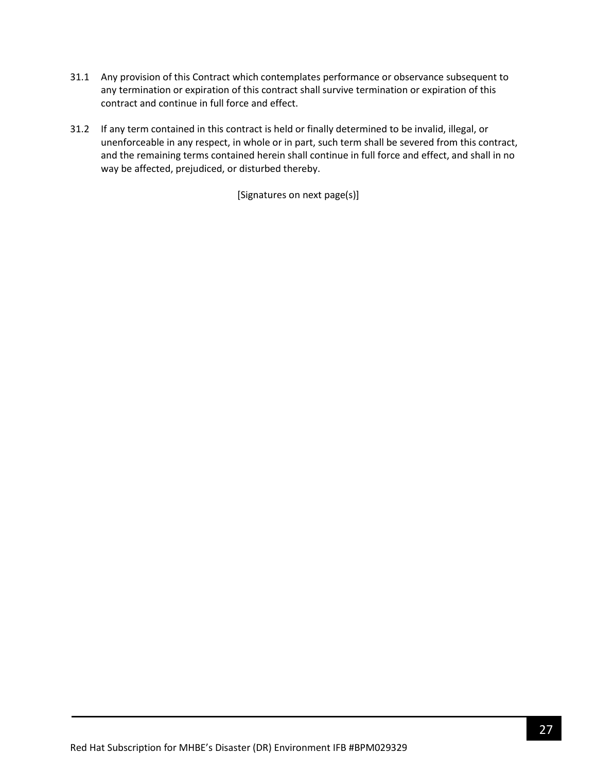- 31.1 Any provision of this Contract which contemplates performance or observance subsequent to any termination or expiration of this contract shall survive termination or expiration of this contract and continue in full force and effect.
- 31.2 If any term contained in this contract is held or finally determined to be invalid, illegal, or unenforceable in any respect, in whole or in part, such term shall be severed from this contract, and the remaining terms contained herein shall continue in full force and effect, and shall in no way be affected, prejudiced, or disturbed thereby.

[Signatures on next page(s)]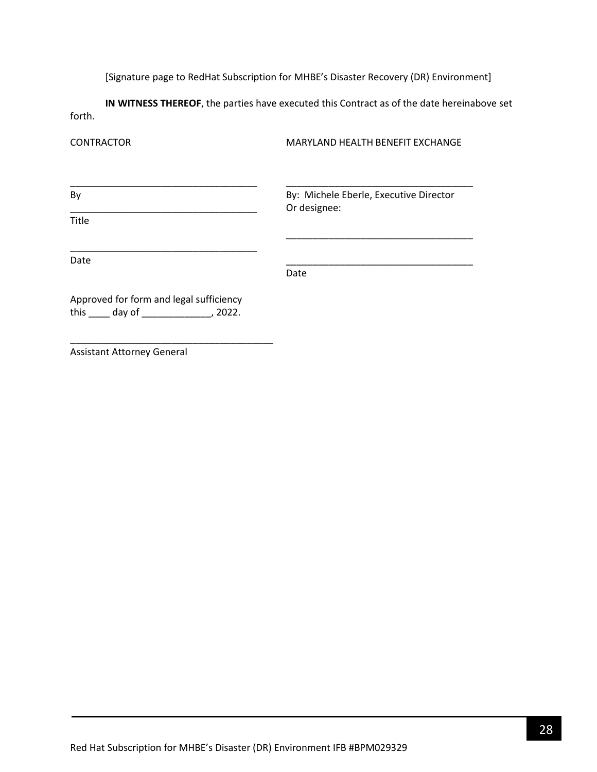[Signature page to RedHat Subscription for MHBE's Disaster Recovery (DR) Environment]

**IN WITNESS THEREOF**, the parties have executed this Contract as of the date hereinabove set forth.

| <b>CONTRACTOR</b>                                                                     | MARYLAND HEALTH BENEFIT EXCHANGE                       |
|---------------------------------------------------------------------------------------|--------------------------------------------------------|
| By                                                                                    | By: Michele Eberle, Executive Director<br>Or designee: |
| Title                                                                                 |                                                        |
| Date                                                                                  | Date                                                   |
| Approved for form and legal sufficiency<br>this ______ day of ________________, 2022. |                                                        |
| <b>Assistant Attorney General</b>                                                     |                                                        |

Red Hat Subscription for MHBE's Disaster (DR) Environment IFB #BPM029329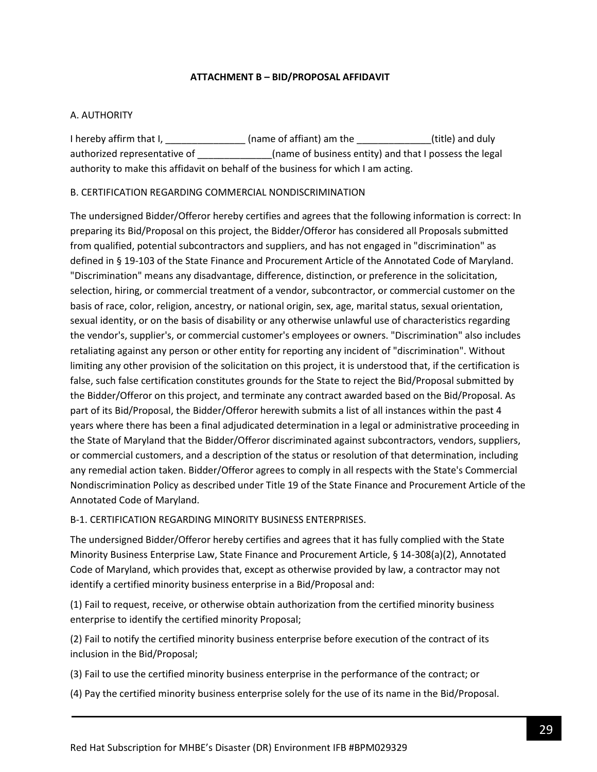### **ATTACHMENT B – BID/PROPOSAL AFFIDAVIT**

### <span id="page-28-0"></span>A. AUTHORITY

I hereby affirm that I, \_\_\_\_\_\_\_\_\_\_\_\_\_\_\_\_\_\_(name of affiant) am the \_\_\_\_\_\_\_\_\_\_\_\_\_\_(title) and duly authorized representative of \_\_\_\_\_\_\_\_\_\_\_\_\_(name of business entity) and that I possess the legal authority to make this affidavit on behalf of the business for which I am acting.

### B. CERTIFICATION REGARDING COMMERCIAL NONDISCRIMINATION

The undersigned Bidder/Offeror hereby certifies and agrees that the following information is correct: In preparing its Bid/Proposal on this project, the Bidder/Offeror has considered all Proposals submitted from qualified, potential subcontractors and suppliers, and has not engaged in "discrimination" as defined in § 19-103 of the State Finance and Procurement Article of the Annotated Code of Maryland. "Discrimination" means any disadvantage, difference, distinction, or preference in the solicitation, selection, hiring, or commercial treatment of a vendor, subcontractor, or commercial customer on the basis of race, color, religion, ancestry, or national origin, sex, age, marital status, sexual orientation, sexual identity, or on the basis of disability or any otherwise unlawful use of characteristics regarding the vendor's, supplier's, or commercial customer's employees or owners. "Discrimination" also includes retaliating against any person or other entity for reporting any incident of "discrimination". Without limiting any other provision of the solicitation on this project, it is understood that, if the certification is false, such false certification constitutes grounds for the State to reject the Bid/Proposal submitted by the Bidder/Offeror on this project, and terminate any contract awarded based on the Bid/Proposal. As part of its Bid/Proposal, the Bidder/Offeror herewith submits a list of all instances within the past 4 years where there has been a final adjudicated determination in a legal or administrative proceeding in the State of Maryland that the Bidder/Offeror discriminated against subcontractors, vendors, suppliers, or commercial customers, and a description of the status or resolution of that determination, including any remedial action taken. Bidder/Offeror agrees to comply in all respects with the State's Commercial Nondiscrimination Policy as described under Title 19 of the State Finance and Procurement Article of the Annotated Code of Maryland.

### B-1. CERTIFICATION REGARDING MINORITY BUSINESS ENTERPRISES.

The undersigned Bidder/Offeror hereby certifies and agrees that it has fully complied with the State Minority Business Enterprise Law, State Finance and Procurement Article, § 14-308(a)(2), Annotated Code of Maryland, which provides that, except as otherwise provided by law, a contractor may not identify a certified minority business enterprise in a Bid/Proposal and:

(1) Fail to request, receive, or otherwise obtain authorization from the certified minority business enterprise to identify the certified minority Proposal;

(2) Fail to notify the certified minority business enterprise before execution of the contract of its inclusion in the Bid/Proposal;

(3) Fail to use the certified minority business enterprise in the performance of the contract; or

(4) Pay the certified minority business enterprise solely for the use of its name in the Bid/Proposal.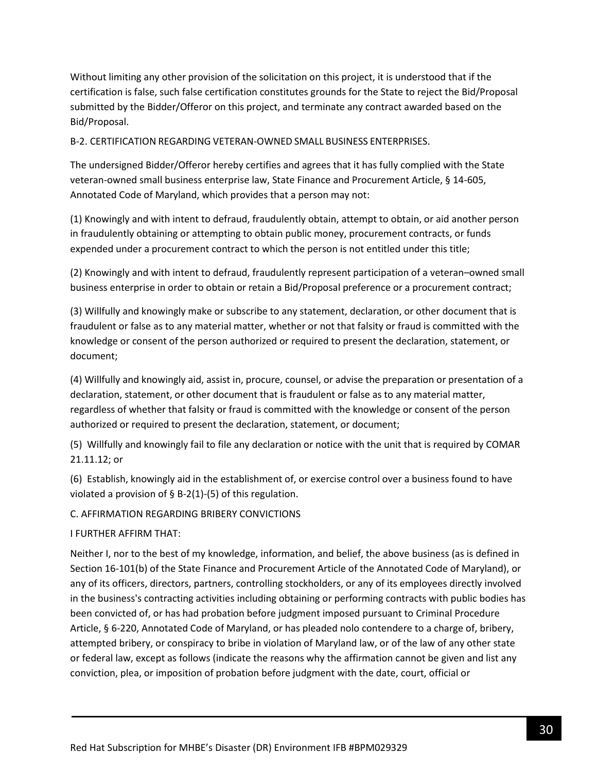Without limiting any other provision of the solicitation on this project, it is understood that if the certification is false, such false certification constitutes grounds for the State to reject the Bid/Proposal submitted by the Bidder/Offeror on this project, and terminate any contract awarded based on the Bid/Proposal.

B-2. CERTIFICATION REGARDING VETERAN-OWNED SMALL BUSINESS ENTERPRISES.

The undersigned Bidder/Offeror hereby certifies and agrees that it has fully complied with the State veteran-owned small business enterprise law, State Finance and Procurement Article, § 14-605, Annotated Code of Maryland, which provides that a person may not:

(1) Knowingly and with intent to defraud, fraudulently obtain, attempt to obtain, or aid another person in fraudulently obtaining or attempting to obtain public money, procurement contracts, or funds expended under a procurement contract to which the person is not entitled under this title;

(2) Knowingly and with intent to defraud, fraudulently represent participation of a veteran–owned small business enterprise in order to obtain or retain a Bid/Proposal preference or a procurement contract;

(3) Willfully and knowingly make or subscribe to any statement, declaration, or other document that is fraudulent or false as to any material matter, whether or not that falsity or fraud is committed with the knowledge or consent of the person authorized or required to present the declaration, statement, or document;

(4) Willfully and knowingly aid, assist in, procure, counsel, or advise the preparation or presentation of a declaration, statement, or other document that is fraudulent or false as to any material matter, regardless of whether that falsity or fraud is committed with the knowledge or consent of the person authorized or required to present the declaration, statement, or document;

(5) Willfully and knowingly fail to file any declaration or notice with the unit that is required by COMAR 21.11.12; or

(6) Establish, knowingly aid in the establishment of, or exercise control over a business found to have violated a provision of  $\S$  B-2(1)-(5) of this regulation.

C. AFFIRMATION REGARDING BRIBERY CONVICTIONS

I FURTHER AFFIRM THAT:

Neither I, nor to the best of my knowledge, information, and belief, the above business (as is defined in Section 16-101(b) of the State Finance and Procurement Article of the Annotated Code of Maryland), or any of its officers, directors, partners, controlling stockholders, or any of its employees directly involved in the business's contracting activities including obtaining or performing contracts with public bodies has been convicted of, or has had probation before judgment imposed pursuant to Criminal Procedure Article, § 6-220, Annotated Code of Maryland, or has pleaded nolo contendere to a charge of, bribery, attempted bribery, or conspiracy to bribe in violation of Maryland law, or of the law of any other state or federal law, except as follows (indicate the reasons why the affirmation cannot be given and list any conviction, plea, or imposition of probation before judgment with the date, court, official or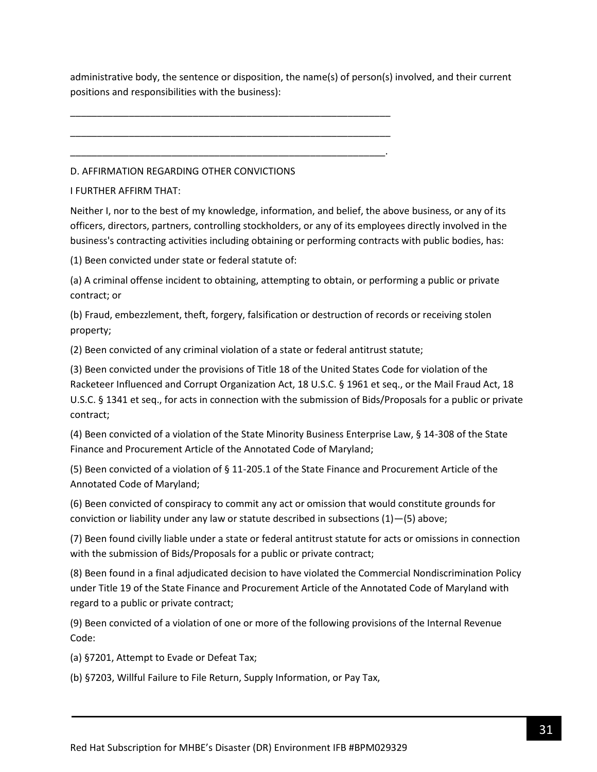administrative body, the sentence or disposition, the name(s) of person(s) involved, and their current positions and responsibilities with the business):

D. AFFIRMATION REGARDING OTHER CONVICTIONS

\_\_\_\_\_\_\_\_\_\_\_\_\_\_\_\_\_\_\_\_\_\_\_\_\_\_\_\_\_\_\_\_\_\_\_\_\_\_\_\_\_\_\_\_\_\_\_\_\_\_\_\_\_\_\_\_\_\_\_\_

\_\_\_\_\_\_\_\_\_\_\_\_\_\_\_\_\_\_\_\_\_\_\_\_\_\_\_\_\_\_\_\_\_\_\_\_\_\_\_\_\_\_\_\_\_\_\_\_\_\_\_\_\_\_\_\_\_\_\_\_

\_\_\_\_\_\_\_\_\_\_\_\_\_\_\_\_\_\_\_\_\_\_\_\_\_\_\_\_\_\_\_\_\_\_\_\_\_\_\_\_\_\_\_\_\_\_\_\_\_\_\_\_\_\_\_\_\_\_\_.

I FURTHER AFFIRM THAT:

Neither I, nor to the best of my knowledge, information, and belief, the above business, or any of its officers, directors, partners, controlling stockholders, or any of its employees directly involved in the business's contracting activities including obtaining or performing contracts with public bodies, has:

(1) Been convicted under state or federal statute of:

(a) A criminal offense incident to obtaining, attempting to obtain, or performing a public or private contract; or

(b) Fraud, embezzlement, theft, forgery, falsification or destruction of records or receiving stolen property;

(2) Been convicted of any criminal violation of a state or federal antitrust statute;

(3) Been convicted under the provisions of Title 18 of the United States Code for violation of the Racketeer Influenced and Corrupt Organization Act, 18 U.S.C. § 1961 et seq., or the Mail Fraud Act, 18 U.S.C. § 1341 et seq., for acts in connection with the submission of Bids/Proposals for a public or private contract;

(4) Been convicted of a violation of the State Minority Business Enterprise Law, § 14-308 of the State Finance and Procurement Article of the Annotated Code of Maryland;

(5) Been convicted of a violation of § 11-205.1 of the State Finance and Procurement Article of the Annotated Code of Maryland;

(6) Been convicted of conspiracy to commit any act or omission that would constitute grounds for conviction or liability under any law or statute described in subsections (1)—(5) above;

(7) Been found civilly liable under a state or federal antitrust statute for acts or omissions in connection with the submission of Bids/Proposals for a public or private contract;

(8) Been found in a final adjudicated decision to have violated the Commercial Nondiscrimination Policy under Title 19 of the State Finance and Procurement Article of the Annotated Code of Maryland with regard to a public or private contract;

(9) Been convicted of a violation of one or more of the following provisions of the Internal Revenue Code:

(a) §7201, Attempt to Evade or Defeat Tax;

(b) §7203, Willful Failure to File Return, Supply Information, or Pay Tax,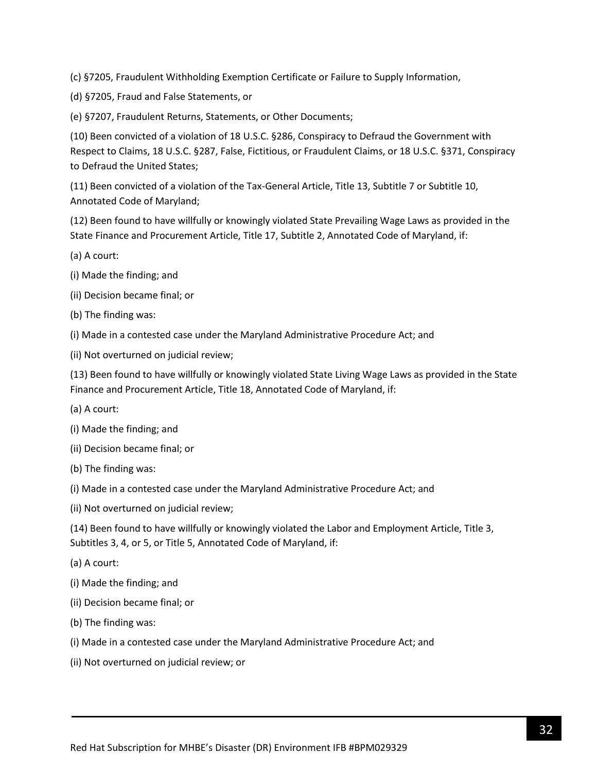(c) §7205, Fraudulent Withholding Exemption Certificate or Failure to Supply Information,

(d) §7205, Fraud and False Statements, or

(e) §7207, Fraudulent Returns, Statements, or Other Documents;

(10) Been convicted of a violation of 18 U.S.C. §286, Conspiracy to Defraud the Government with Respect to Claims, 18 U.S.C. §287, False, Fictitious, or Fraudulent Claims, or 18 U.S.C. §371, Conspiracy to Defraud the United States;

(11) Been convicted of a violation of the Tax-General Article, Title 13, Subtitle 7 or Subtitle 10, Annotated Code of Maryland;

(12) Been found to have willfully or knowingly violated State Prevailing Wage Laws as provided in the State Finance and Procurement Article, Title 17, Subtitle 2, Annotated Code of Maryland, if:

- (a) A court:
- (i) Made the finding; and
- (ii) Decision became final; or
- (b) The finding was:
- (i) Made in a contested case under the Maryland Administrative Procedure Act; and
- (ii) Not overturned on judicial review;

(13) Been found to have willfully or knowingly violated State Living Wage Laws as provided in the State Finance and Procurement Article, Title 18, Annotated Code of Maryland, if:

- (a) A court:
- (i) Made the finding; and
- (ii) Decision became final; or
- (b) The finding was:
- (i) Made in a contested case under the Maryland Administrative Procedure Act; and
- (ii) Not overturned on judicial review;

(14) Been found to have willfully or knowingly violated the Labor and Employment Article, Title 3, Subtitles 3, 4, or 5, or Title 5, Annotated Code of Maryland, if:

- (a) A court:
- (i) Made the finding; and
- (ii) Decision became final; or
- (b) The finding was:
- (i) Made in a contested case under the Maryland Administrative Procedure Act; and
- (ii) Not overturned on judicial review; or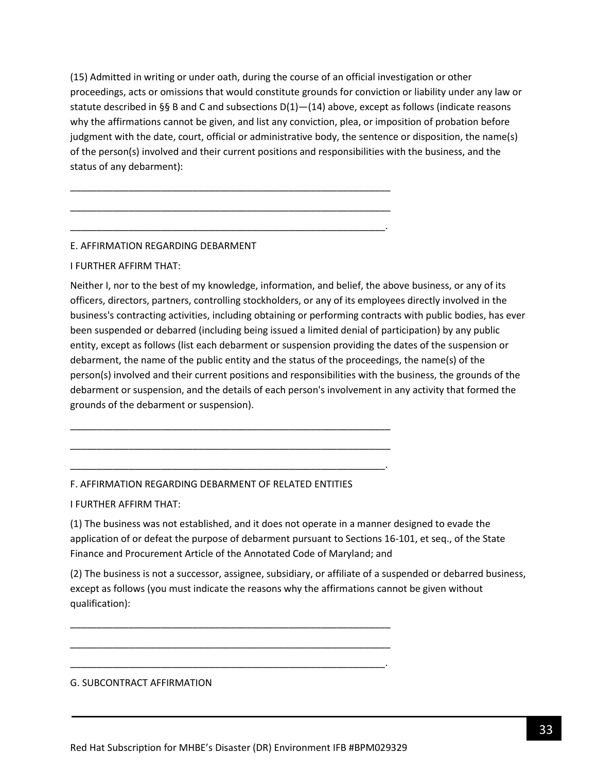(15) Admitted in writing or under oath, during the course of an official investigation or other proceedings, acts or omissions that would constitute grounds for conviction or liability under any law or statute described in §§ B and C and subsections  $D(1)$ — $(14)$  above, except as follows (indicate reasons why the affirmations cannot be given, and list any conviction, plea, or imposition of probation before judgment with the date, court, official or administrative body, the sentence or disposition, the name(s) of the person(s) involved and their current positions and responsibilities with the business, and the status of any debarment):

\_\_\_\_\_\_\_\_\_\_\_\_\_\_\_\_\_\_\_\_\_\_\_\_\_\_\_\_\_\_\_\_\_\_\_\_\_\_\_\_\_\_\_\_\_\_\_\_\_\_\_\_\_\_\_\_\_\_\_\_

\_\_\_\_\_\_\_\_\_\_\_\_\_\_\_\_\_\_\_\_\_\_\_\_\_\_\_\_\_\_\_\_\_\_\_\_\_\_\_\_\_\_\_\_\_\_\_\_\_\_\_\_\_\_\_\_\_\_\_\_

\_\_\_\_\_\_\_\_\_\_\_\_\_\_\_\_\_\_\_\_\_\_\_\_\_\_\_\_\_\_\_\_\_\_\_\_\_\_\_\_\_\_\_\_\_\_\_\_\_\_\_\_\_\_\_\_\_\_\_.

### E. AFFIRMATION REGARDING DEBARMENT

### I FURTHER AFFIRM THAT:

Neither I, nor to the best of my knowledge, information, and belief, the above business, or any of its officers, directors, partners, controlling stockholders, or any of its employees directly involved in the business's contracting activities, including obtaining or performing contracts with public bodies, has ever been suspended or debarred (including being issued a limited denial of participation) by any public entity, except as follows (list each debarment or suspension providing the dates of the suspension or debarment, the name of the public entity and the status of the proceedings, the name(s) of the person(s) involved and their current positions and responsibilities with the business, the grounds of the debarment or suspension, and the details of each person's involvement in any activity that formed the grounds of the debarment or suspension).

### F. AFFIRMATION REGARDING DEBARMENT OF RELATED ENTITIES

\_\_\_\_\_\_\_\_\_\_\_\_\_\_\_\_\_\_\_\_\_\_\_\_\_\_\_\_\_\_\_\_\_\_\_\_\_\_\_\_\_\_\_\_\_\_\_\_\_\_\_\_\_\_\_\_\_\_\_\_

\_\_\_\_\_\_\_\_\_\_\_\_\_\_\_\_\_\_\_\_\_\_\_\_\_\_\_\_\_\_\_\_\_\_\_\_\_\_\_\_\_\_\_\_\_\_\_\_\_\_\_\_\_\_\_\_\_\_\_\_

\_\_\_\_\_\_\_\_\_\_\_\_\_\_\_\_\_\_\_\_\_\_\_\_\_\_\_\_\_\_\_\_\_\_\_\_\_\_\_\_\_\_\_\_\_\_\_\_\_\_\_\_\_\_\_\_\_\_\_.

\_\_\_\_\_\_\_\_\_\_\_\_\_\_\_\_\_\_\_\_\_\_\_\_\_\_\_\_\_\_\_\_\_\_\_\_\_\_\_\_\_\_\_\_\_\_\_\_\_\_\_\_\_\_\_\_\_\_\_\_

\_\_\_\_\_\_\_\_\_\_\_\_\_\_\_\_\_\_\_\_\_\_\_\_\_\_\_\_\_\_\_\_\_\_\_\_\_\_\_\_\_\_\_\_\_\_\_\_\_\_\_\_\_\_\_\_\_\_\_\_

\_\_\_\_\_\_\_\_\_\_\_\_\_\_\_\_\_\_\_\_\_\_\_\_\_\_\_\_\_\_\_\_\_\_\_\_\_\_\_\_\_\_\_\_\_\_\_\_\_\_\_\_\_\_\_\_\_\_\_.

I FURTHER AFFIRM THAT:

(1) The business was not established, and it does not operate in a manner designed to evade the application of or defeat the purpose of debarment pursuant to Sections 16-101, et seq., of the State Finance and Procurement Article of the Annotated Code of Maryland; and

(2) The business is not a successor, assignee, subsidiary, or affiliate of a suspended or debarred business, except as follows (you must indicate the reasons why the affirmations cannot be given without qualification):

#### G. SUBCONTRACT AFFIRMATION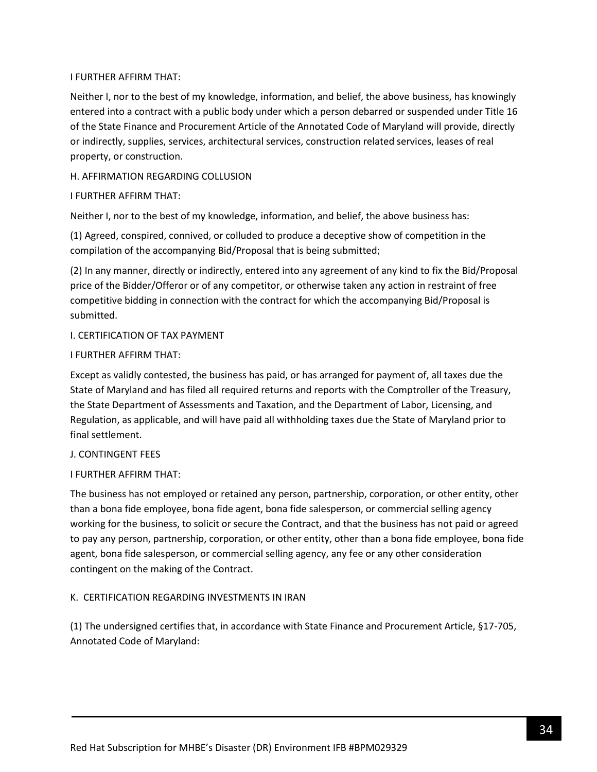### I FURTHER AFFIRM THAT:

Neither I, nor to the best of my knowledge, information, and belief, the above business, has knowingly entered into a contract with a public body under which a person debarred or suspended under Title 16 of the State Finance and Procurement Article of the Annotated Code of Maryland will provide, directly or indirectly, supplies, services, architectural services, construction related services, leases of real property, or construction.

### H. AFFIRMATION REGARDING COLLUSION

### I FURTHER AFFIRM THAT:

Neither I, nor to the best of my knowledge, information, and belief, the above business has:

(1) Agreed, conspired, connived, or colluded to produce a deceptive show of competition in the compilation of the accompanying Bid/Proposal that is being submitted;

(2) In any manner, directly or indirectly, entered into any agreement of any kind to fix the Bid/Proposal price of the Bidder/Offeror or of any competitor, or otherwise taken any action in restraint of free competitive bidding in connection with the contract for which the accompanying Bid/Proposal is submitted.

### I. CERTIFICATION OF TAX PAYMENT

### I FURTHER AFFIRM THAT:

Except as validly contested, the business has paid, or has arranged for payment of, all taxes due the State of Maryland and has filed all required returns and reports with the Comptroller of the Treasury, the State Department of Assessments and Taxation, and the Department of Labor, Licensing, and Regulation, as applicable, and will have paid all withholding taxes due the State of Maryland prior to final settlement.

### J. CONTINGENT FEES

## I FURTHER AFFIRM THAT:

The business has not employed or retained any person, partnership, corporation, or other entity, other than a bona fide employee, bona fide agent, bona fide salesperson, or commercial selling agency working for the business, to solicit or secure the Contract, and that the business has not paid or agreed to pay any person, partnership, corporation, or other entity, other than a bona fide employee, bona fide agent, bona fide salesperson, or commercial selling agency, any fee or any other consideration contingent on the making of the Contract.

## K. CERTIFICATION REGARDING INVESTMENTS IN IRAN

(1) The undersigned certifies that, in accordance with State Finance and Procurement Article, §17-705, Annotated Code of Maryland: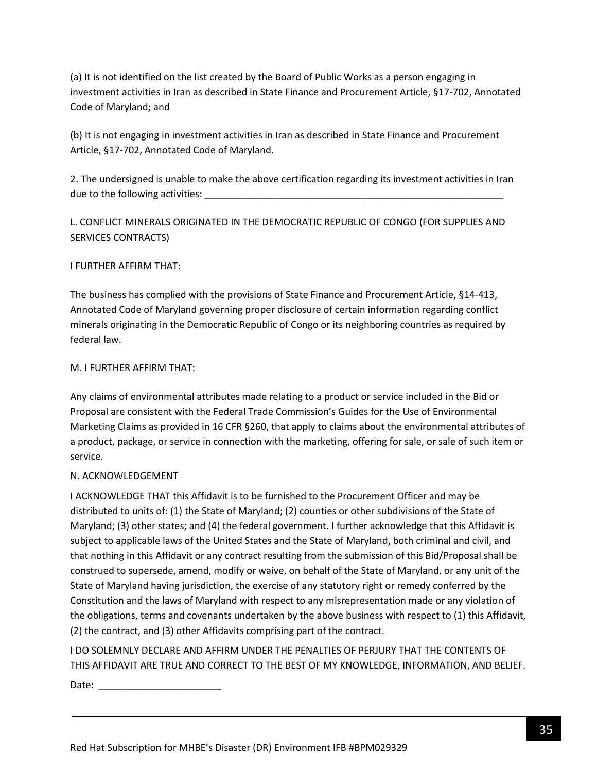(a) It is not identified on the list created by the Board of Public Works as a person engaging in investment activities in Iran as described in State Finance and Procurement Article, §17-702, Annotated Code of Maryland; and

(b) It is not engaging in investment activities in Iran as described in State Finance and Procurement Article, §17-702, Annotated Code of Maryland.

2. The undersigned is unable to make the above certification regarding its investment activities in Iran due to the following activities:

L. CONFLICT MINERALS ORIGINATED IN THE DEMOCRATIC REPUBLIC OF CONGO (FOR SUPPLIES AND SERVICES CONTRACTS)

## I FURTHER AFFIRM THAT:

The business has complied with the provisions of State Finance and Procurement Article, §14-413, Annotated Code of Maryland governing proper disclosure of certain information regarding conflict minerals originating in the Democratic Republic of Congo or its neighboring countries as required by federal law.

### M. I FURTHER AFFIRM THAT:

Any claims of environmental attributes made relating to a product or service included in the Bid or Proposal are consistent with the Federal Trade Commission's Guides for the Use of Environmental Marketing Claims as provided in 16 CFR §260, that apply to claims about the environmental attributes of a product, package, or service in connection with the marketing, offering for sale, or sale of such item or service.

## N. ACKNOWLEDGEMENT

I ACKNOWLEDGE THAT this Affidavit is to be furnished to the Procurement Officer and may be distributed to units of: (1) the State of Maryland; (2) counties or other subdivisions of the State of Maryland; (3) other states; and (4) the federal government. I further acknowledge that this Affidavit is subject to applicable laws of the United States and the State of Maryland, both criminal and civil, and that nothing in this Affidavit or any contract resulting from the submission of this Bid/Proposal shall be construed to supersede, amend, modify or waive, on behalf of the State of Maryland, or any unit of the State of Maryland having jurisdiction, the exercise of any statutory right or remedy conferred by the Constitution and the laws of Maryland with respect to any misrepresentation made or any violation of the obligations, terms and covenants undertaken by the above business with respect to (1) this Affidavit, (2) the contract, and (3) other Affidavits comprising part of the contract.

I DO SOLEMNLY DECLARE AND AFFIRM UNDER THE PENALTIES OF PERJURY THAT THE CONTENTS OF THIS AFFIDAVIT ARE TRUE AND CORRECT TO THE BEST OF MY KNOWLEDGE, INFORMATION, AND BELIEF.

Date:  $\frac{1}{\sqrt{1-\frac{1}{2}}}$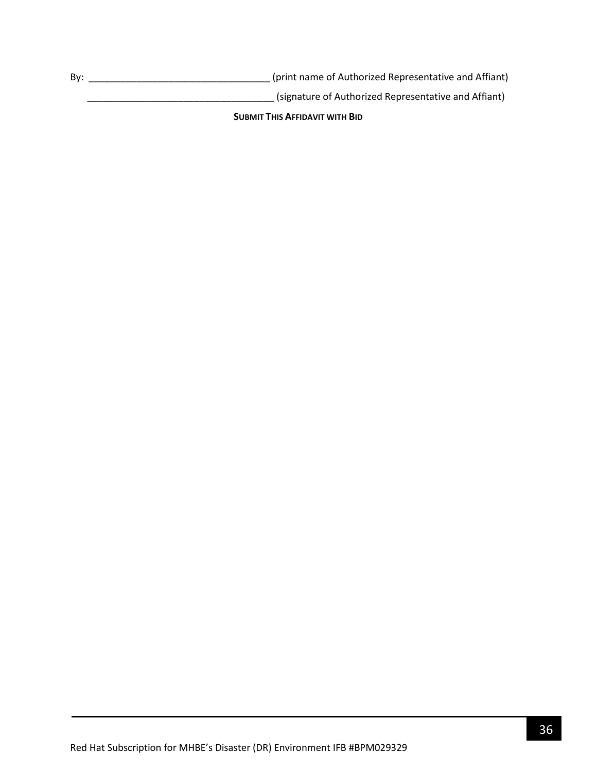By: \_\_\_\_\_\_\_\_\_\_\_\_\_\_\_\_\_\_\_\_\_\_\_\_\_\_\_\_\_\_\_\_\_\_ (print name of Authorized Representative and Affiant)

\_\_\_\_\_\_\_\_\_\_\_\_\_\_\_\_\_\_\_\_\_\_\_\_\_\_\_\_\_\_\_\_\_\_\_ (signature of Authorized Representative and Affiant)

**SUBMIT THIS AFFIDAVIT WITH BID**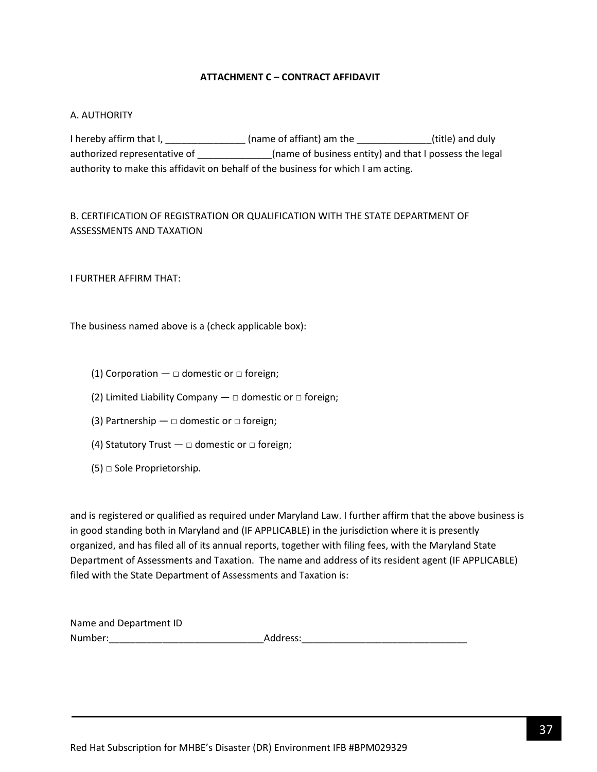### **ATTACHMENT C – CONTRACT AFFIDAVIT**

### <span id="page-36-0"></span>A. AUTHORITY

I hereby affirm that I, \_\_\_\_\_\_\_\_\_\_\_\_\_\_\_\_\_(name of affiant) am the \_\_\_\_\_\_\_\_\_\_\_\_\_\_\_(title) and duly authorized representative of \_\_\_\_\_\_\_\_\_\_\_\_\_\_\_\_(name of business entity) and that I possess the legal authority to make this affidavit on behalf of the business for which I am acting.

## B. CERTIFICATION OF REGISTRATION OR QUALIFICATION WITH THE STATE DEPARTMENT OF ASSESSMENTS AND TAXATION

I FURTHER AFFIRM THAT:

The business named above is a (check applicable box):

- (1) Corporation  $\Box$  domestic or  $\Box$  foreign;
- (2) Limited Liability Company  $-\Box$  domestic or  $\Box$  foreign;
- (3) Partnership  $\Box$  domestic or  $\Box$  foreign;
- (4) Statutory Trust  $\Box$  domestic or  $\Box$  foreign;
- $(5)$   $\Box$  Sole Proprietorship.

and is registered or qualified as required under Maryland Law. I further affirm that the above business is in good standing both in Maryland and (IF APPLICABLE) in the jurisdiction where it is presently organized, and has filed all of its annual reports, together with filing fees, with the Maryland State Department of Assessments and Taxation. The name and address of its resident agent (IF APPLICABLE) filed with the State Department of Assessments and Taxation is:

| Name and Department ID |          |
|------------------------|----------|
| Number:                | Address: |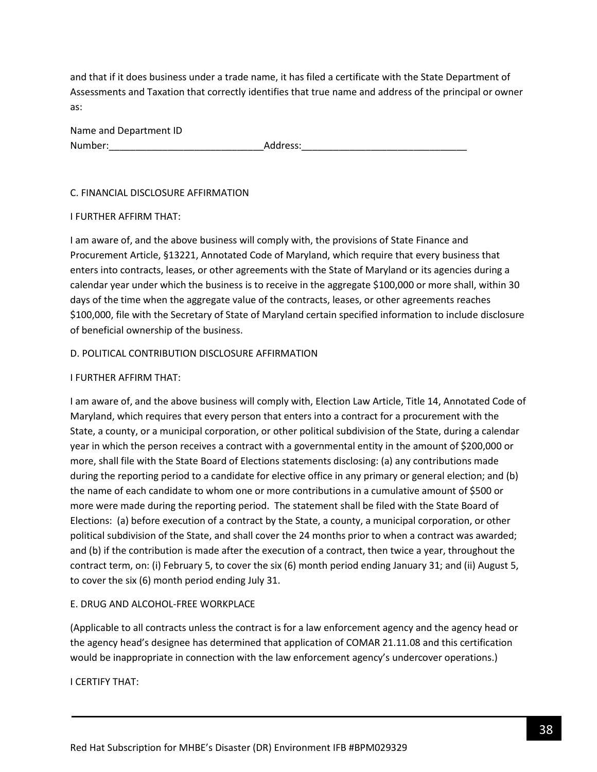and that if it does business under a trade name, it has filed a certificate with the State Department of Assessments and Taxation that correctly identifies that true name and address of the principal or owner as:

| Name and Department ID |          |
|------------------------|----------|
| Number:                | Address: |

### C. FINANCIAL DISCLOSURE AFFIRMATION

### I FURTHER AFFIRM THAT:

I am aware of, and the above business will comply with, the provisions of State Finance and Procurement Article, §13221, Annotated Code of Maryland, which require that every business that enters into contracts, leases, or other agreements with the State of Maryland or its agencies during a calendar year under which the business is to receive in the aggregate \$100,000 or more shall, within 30 days of the time when the aggregate value of the contracts, leases, or other agreements reaches \$100,000, file with the Secretary of State of Maryland certain specified information to include disclosure of beneficial ownership of the business.

### D. POLITICAL CONTRIBUTION DISCLOSURE AFFIRMATION

### I FURTHER AFFIRM THAT:

I am aware of, and the above business will comply with, Election Law Article, Title 14, Annotated Code of Maryland, which requires that every person that enters into a contract for a procurement with the State, a county, or a municipal corporation, or other political subdivision of the State, during a calendar year in which the person receives a contract with a governmental entity in the amount of \$200,000 or more, shall file with the State Board of Elections statements disclosing: (a) any contributions made during the reporting period to a candidate for elective office in any primary or general election; and (b) the name of each candidate to whom one or more contributions in a cumulative amount of \$500 or more were made during the reporting period. The statement shall be filed with the State Board of Elections: (a) before execution of a contract by the State, a county, a municipal corporation, or other political subdivision of the State, and shall cover the 24 months prior to when a contract was awarded; and (b) if the contribution is made after the execution of a contract, then twice a year, throughout the contract term, on: (i) February 5, to cover the six (6) month period ending January 31; and (ii) August 5, to cover the six (6) month period ending July 31.

## E. DRUG AND ALCOHOL-FREE WORKPLACE

(Applicable to all contracts unless the contract is for a law enforcement agency and the agency head or the agency head's designee has determined that application of COMAR 21.11.08 and this certification would be inappropriate in connection with the law enforcement agency's undercover operations.)

I CERTIFY THAT: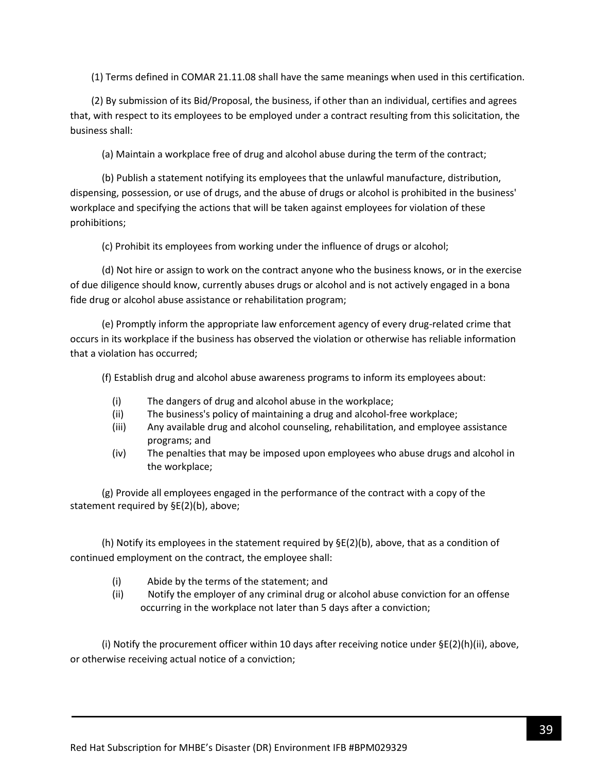(1) Terms defined in COMAR 21.11.08 shall have the same meanings when used in this certification.

(2) By submission of its Bid/Proposal, the business, if other than an individual, certifies and agrees that, with respect to its employees to be employed under a contract resulting from this solicitation, the business shall:

(a) Maintain a workplace free of drug and alcohol abuse during the term of the contract;

(b) Publish a statement notifying its employees that the unlawful manufacture, distribution, dispensing, possession, or use of drugs, and the abuse of drugs or alcohol is prohibited in the business' workplace and specifying the actions that will be taken against employees for violation of these prohibitions;

(c) Prohibit its employees from working under the influence of drugs or alcohol;

(d) Not hire or assign to work on the contract anyone who the business knows, or in the exercise of due diligence should know, currently abuses drugs or alcohol and is not actively engaged in a bona fide drug or alcohol abuse assistance or rehabilitation program;

(e) Promptly inform the appropriate law enforcement agency of every drug-related crime that occurs in its workplace if the business has observed the violation or otherwise has reliable information that a violation has occurred;

(f) Establish drug and alcohol abuse awareness programs to inform its employees about:

- (i) The dangers of drug and alcohol abuse in the workplace;
- (ii) The business's policy of maintaining a drug and alcohol-free workplace;
- (iii) Any available drug and alcohol counseling, rehabilitation, and employee assistance programs; and
- (iv) The penalties that may be imposed upon employees who abuse drugs and alcohol in the workplace;

(g) Provide all employees engaged in the performance of the contract with a copy of the statement required by §E(2)(b), above;

(h) Notify its employees in the statement required by  $\Sigma(2)(b)$ , above, that as a condition of continued employment on the contract, the employee shall:

- (i) Abide by the terms of the statement; and
- (ii) Notify the employer of any criminal drug or alcohol abuse conviction for an offense occurring in the workplace not later than 5 days after a conviction;

(i) Notify the procurement officer within 10 days after receiving notice under  $\Sigma(2)(h)(ii)$ , above, or otherwise receiving actual notice of a conviction;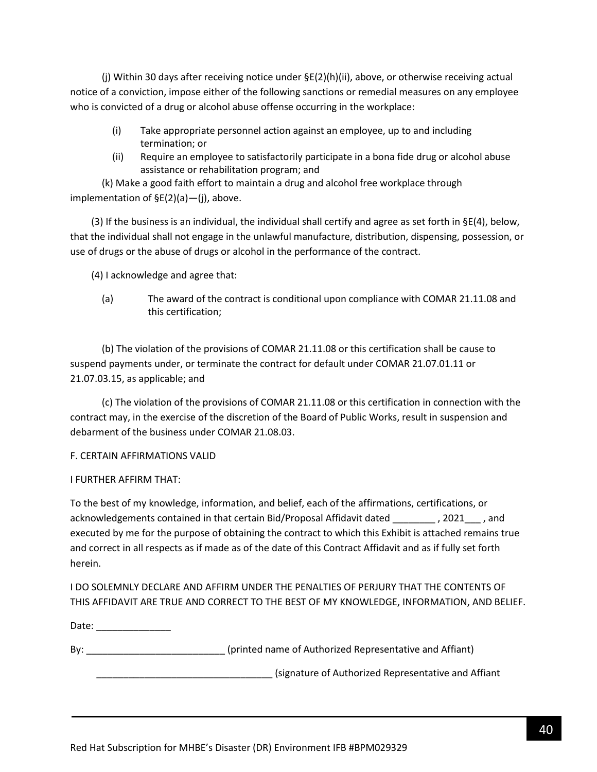(j) Within 30 days after receiving notice under §E(2)(h)(ii), above, or otherwise receiving actual notice of a conviction, impose either of the following sanctions or remedial measures on any employee who is convicted of a drug or alcohol abuse offense occurring in the workplace:

- (i) Take appropriate personnel action against an employee, up to and including termination; or
- (ii) Require an employee to satisfactorily participate in a bona fide drug or alcohol abuse assistance or rehabilitation program; and

(k) Make a good faith effort to maintain a drug and alcohol free workplace through implementation of §E(2)(a)—(j), above.

(3) If the business is an individual, the individual shall certify and agree as set forth in  $\S E(4)$ , below, that the individual shall not engage in the unlawful manufacture, distribution, dispensing, possession, or use of drugs or the abuse of drugs or alcohol in the performance of the contract.

(4) I acknowledge and agree that:

(a) The award of the contract is conditional upon compliance with COMAR 21.11.08 and this certification;

(b) The violation of the provisions of COMAR 21.11.08 or this certification shall be cause to suspend payments under, or terminate the contract for default under COMAR 21.07.01.11 or 21.07.03.15, as applicable; and

(c) The violation of the provisions of COMAR 21.11.08 or this certification in connection with the contract may, in the exercise of the discretion of the Board of Public Works, result in suspension and debarment of the business under COMAR 21.08.03.

## F. CERTAIN AFFIRMATIONS VALID

### I FURTHER AFFIRM THAT:

To the best of my knowledge, information, and belief, each of the affirmations, certifications, or acknowledgements contained in that certain Bid/Proposal Affidavit dated \_\_\_\_\_\_\_\_ , 2021\_\_\_ , and executed by me for the purpose of obtaining the contract to which this Exhibit is attached remains true and correct in all respects as if made as of the date of this Contract Affidavit and as if fully set forth herein.

I DO SOLEMNLY DECLARE AND AFFIRM UNDER THE PENALTIES OF PERJURY THAT THE CONTENTS OF THIS AFFIDAVIT ARE TRUE AND CORRECT TO THE BEST OF MY KNOWLEDGE, INFORMATION, AND BELIEF.

Date: \_\_\_\_\_\_\_\_\_\_\_\_\_\_\_

By: example and the state of authorized Representative and Affiant)

\_\_\_\_\_\_\_\_\_\_\_\_\_\_\_\_\_\_\_\_\_\_\_\_\_\_\_\_\_\_\_\_\_ (signature of Authorized Representative and Affiant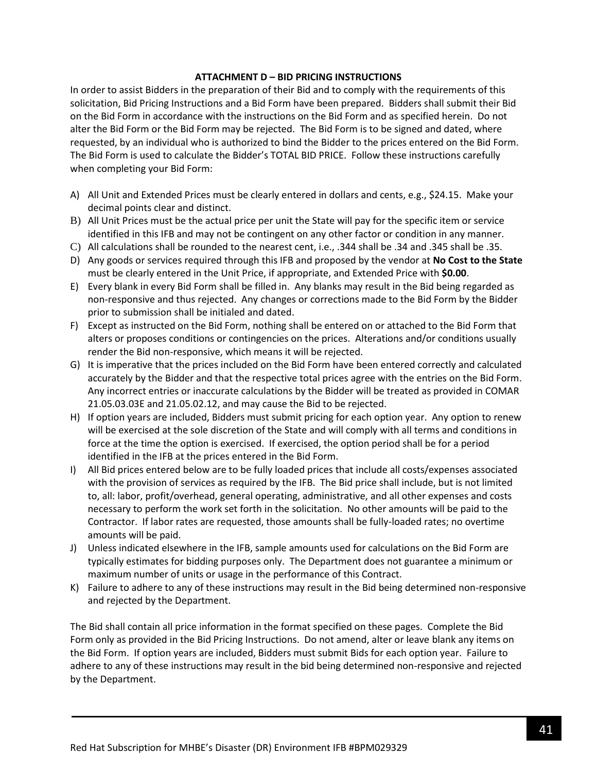### **ATTACHMENT D – BID PRICING INSTRUCTIONS**

In order to assist Bidders in the preparation of their Bid and to comply with the requirements of this solicitation, Bid Pricing Instructions and a Bid Form have been prepared. Bidders shall submit their Bid on the Bid Form in accordance with the instructions on the Bid Form and as specified herein. Do not alter the Bid Form or the Bid Form may be rejected. The Bid Form is to be signed and dated, where requested, by an individual who is authorized to bind the Bidder to the prices entered on the Bid Form. The Bid Form is used to calculate the Bidder's TOTAL BID PRICE. Follow these instructions carefully when completing your Bid Form:

- A) All Unit and Extended Prices must be clearly entered in dollars and cents, e.g., \$24.15. Make your decimal points clear and distinct.
- B) All Unit Prices must be the actual price per unit the State will pay for the specific item or service identified in this IFB and may not be contingent on any other factor or condition in any manner.
- C) All calculations shall be rounded to the nearest cent, i.e., .344 shall be .34 and .345 shall be .35.
- D) Any goods or services required through this IFB and proposed by the vendor at **No Cost to the State** must be clearly entered in the Unit Price, if appropriate, and Extended Price with **\$0.00**.
- E) Every blank in every Bid Form shall be filled in. Any blanks may result in the Bid being regarded as non-responsive and thus rejected. Any changes or corrections made to the Bid Form by the Bidder prior to submission shall be initialed and dated.
- F) Except as instructed on the Bid Form, nothing shall be entered on or attached to the Bid Form that alters or proposes conditions or contingencies on the prices. Alterations and/or conditions usually render the Bid non-responsive, which means it will be rejected.
- G) It is imperative that the prices included on the Bid Form have been entered correctly and calculated accurately by the Bidder and that the respective total prices agree with the entries on the Bid Form. Any incorrect entries or inaccurate calculations by the Bidder will be treated as provided in COMAR 21.05.03.03E and 21.05.02.12, and may cause the Bid to be rejected.
- H) If option years are included, Bidders must submit pricing for each option year. Any option to renew will be exercised at the sole discretion of the State and will comply with all terms and conditions in force at the time the option is exercised. If exercised, the option period shall be for a period identified in the IFB at the prices entered in the Bid Form.
- I) All Bid prices entered below are to be fully loaded prices that include all costs/expenses associated with the provision of services as required by the IFB. The Bid price shall include, but is not limited to, all: labor, profit/overhead, general operating, administrative, and all other expenses and costs necessary to perform the work set forth in the solicitation. No other amounts will be paid to the Contractor. If labor rates are requested, those amounts shall be fully-loaded rates; no overtime amounts will be paid.
- J) Unless indicated elsewhere in the IFB, sample amounts used for calculations on the Bid Form are typically estimates for bidding purposes only. The Department does not guarantee a minimum or maximum number of units or usage in the performance of this Contract.
- K) Failure to adhere to any of these instructions may result in the Bid being determined non-responsive and rejected by the Department.

The Bid shall contain all price information in the format specified on these pages. Complete the Bid Form only as provided in the Bid Pricing Instructions. Do not amend, alter or leave blank any items on the Bid Form. If option years are included, Bidders must submit Bids for each option year. Failure to adhere to any of these instructions may result in the bid being determined non-responsive and rejected by the Department.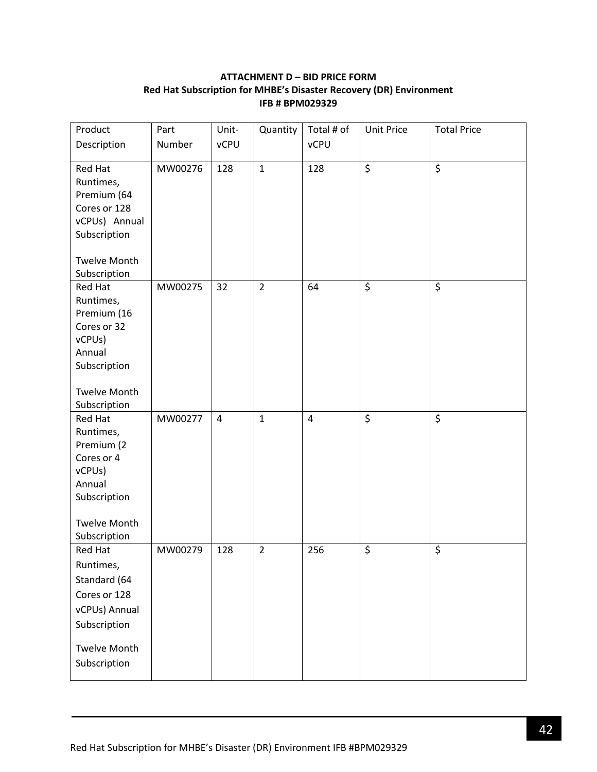## **ATTACHMENT D – BID PRICE FORM Red Hat Subscription for MHBE's Disaster Recovery (DR) Environment IFB # BPM029329**

<span id="page-41-0"></span>

| Product                                                                                                                       | Part    | Unit-          | Quantity       | Total # of              | <b>Unit Price</b> | <b>Total Price</b> |
|-------------------------------------------------------------------------------------------------------------------------------|---------|----------------|----------------|-------------------------|-------------------|--------------------|
| Description                                                                                                                   | Number  | <b>vCPU</b>    |                | <b>vCPU</b>             |                   |                    |
| Red Hat<br>Runtimes,<br>Premium (64<br>Cores or 128<br>vCPUs) Annual<br>Subscription<br><b>Twelve Month</b><br>Subscription   | MW00276 | 128            | $\mathbf 1$    | 128                     | \$                | \$                 |
| Red Hat<br>Runtimes,<br>Premium (16<br>Cores or 32<br>vCPUs)<br>Annual<br>Subscription<br><b>Twelve Month</b><br>Subscription | MW00275 | 32             | $\overline{2}$ | 64                      | $\zeta$           | $\zeta$            |
| Red Hat<br>Runtimes,<br>Premium (2<br>Cores or 4<br>vCPUs)<br>Annual<br>Subscription<br><b>Twelve Month</b><br>Subscription   | MW00277 | $\overline{4}$ | $\mathbf{1}$   | $\overline{\mathbf{4}}$ | $\zeta$           | \$                 |
| Red Hat<br>Runtimes,<br>Standard (64<br>Cores or 128<br>vCPUs) Annual<br>Subscription<br><b>Twelve Month</b><br>Subscription  | MW00279 | 128            | $\overline{2}$ | 256                     | \$                | \$                 |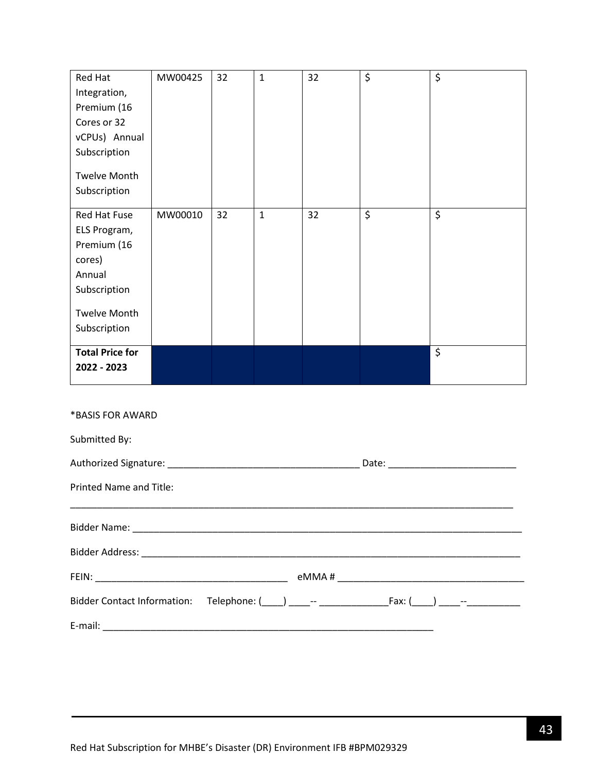| Red Hat                        | MW00425 | 32 | $\mathbf{1}$ | 32 | $\zeta$                                                                                                                                                                                                                        | $\zeta$ |
|--------------------------------|---------|----|--------------|----|--------------------------------------------------------------------------------------------------------------------------------------------------------------------------------------------------------------------------------|---------|
| Integration,                   |         |    |              |    |                                                                                                                                                                                                                                |         |
| Premium (16                    |         |    |              |    |                                                                                                                                                                                                                                |         |
| Cores or 32                    |         |    |              |    |                                                                                                                                                                                                                                |         |
| vCPUs) Annual                  |         |    |              |    |                                                                                                                                                                                                                                |         |
| Subscription                   |         |    |              |    |                                                                                                                                                                                                                                |         |
| <b>Twelve Month</b>            |         |    |              |    |                                                                                                                                                                                                                                |         |
| Subscription                   |         |    |              |    |                                                                                                                                                                                                                                |         |
|                                |         |    |              |    |                                                                                                                                                                                                                                |         |
| Red Hat Fuse                   | MW00010 | 32 | $\mathbf{1}$ | 32 | $\zeta$                                                                                                                                                                                                                        | $\zeta$ |
| ELS Program,                   |         |    |              |    |                                                                                                                                                                                                                                |         |
| Premium (16                    |         |    |              |    |                                                                                                                                                                                                                                |         |
| cores)                         |         |    |              |    |                                                                                                                                                                                                                                |         |
| Annual                         |         |    |              |    |                                                                                                                                                                                                                                |         |
| Subscription                   |         |    |              |    |                                                                                                                                                                                                                                |         |
| <b>Twelve Month</b>            |         |    |              |    |                                                                                                                                                                                                                                |         |
| Subscription                   |         |    |              |    |                                                                                                                                                                                                                                |         |
|                                |         |    |              |    |                                                                                                                                                                                                                                |         |
| <b>Total Price for</b>         |         |    |              |    |                                                                                                                                                                                                                                | \$      |
| 2022 - 2023                    |         |    |              |    |                                                                                                                                                                                                                                |         |
|                                |         |    |              |    |                                                                                                                                                                                                                                |         |
|                                |         |    |              |    |                                                                                                                                                                                                                                |         |
| *BASIS FOR AWARD               |         |    |              |    |                                                                                                                                                                                                                                |         |
| Submitted By:                  |         |    |              |    |                                                                                                                                                                                                                                |         |
|                                |         |    |              |    | Date: the contract of the contract of the contract of the contract of the contract of the contract of the contract of the contract of the contract of the contract of the contract of the contract of the contract of the cont |         |
|                                |         |    |              |    |                                                                                                                                                                                                                                |         |
| <b>Printed Name and Title:</b> |         |    |              |    |                                                                                                                                                                                                                                |         |
|                                |         |    |              |    |                                                                                                                                                                                                                                |         |
|                                |         |    |              |    |                                                                                                                                                                                                                                |         |
|                                |         |    |              |    |                                                                                                                                                                                                                                |         |
|                                |         |    |              |    |                                                                                                                                                                                                                                |         |
|                                |         |    |              |    |                                                                                                                                                                                                                                |         |
|                                |         |    |              |    |                                                                                                                                                                                                                                |         |
|                                |         |    |              |    |                                                                                                                                                                                                                                |         |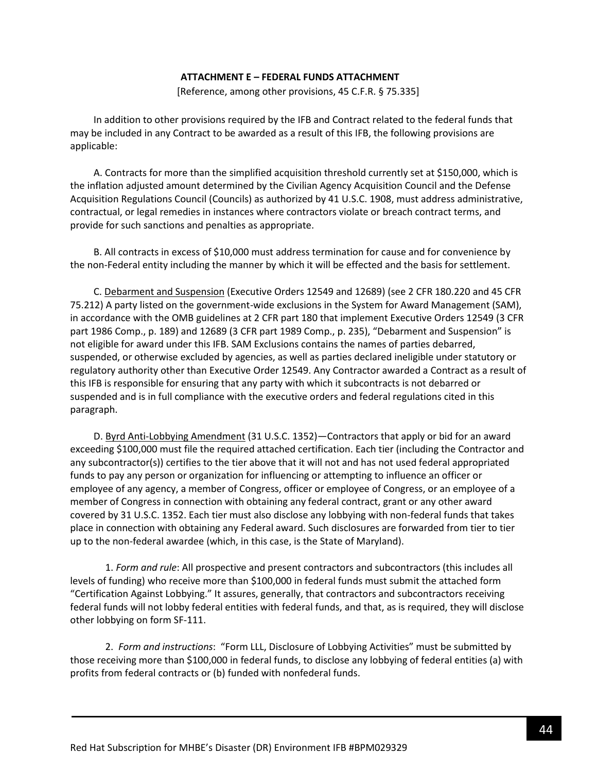#### **ATTACHMENT E – FEDERAL FUNDS ATTACHMENT**

[Reference, among other provisions, 45 C.F.R. § 75.335]

<span id="page-43-0"></span>In addition to other provisions required by the IFB and Contract related to the federal funds that may be included in any Contract to be awarded as a result of this IFB, the following provisions are applicable:

A. Contracts for more than the simplified acquisition threshold currently set at \$150,000, which is the inflation adjusted amount determined by the Civilian Agency Acquisition Council and the Defense Acquisition Regulations Council (Councils) as authorized by 41 U.S.C. 1908, must address administrative, contractual, or legal remedies in instances where contractors violate or breach contract terms, and provide for such sanctions and penalties as appropriate.

B. All contracts in excess of \$10,000 must address termination for cause and for convenience by the non-Federal entity including the manner by which it will be effected and the basis for settlement.

C. Debarment and Suspension (Executive Orders 12549 and 12689) (see 2 CFR 180.220 and 45 CFR 75.212) A party listed on the government-wide exclusions in the System for Award Management (SAM), in accordance with the OMB guidelines at 2 CFR part 180 that implement Executive Orders 12549 (3 CFR part 1986 Comp., p. 189) and 12689 (3 CFR part 1989 Comp., p. 235), "Debarment and Suspension" is not eligible for award under this IFB. SAM Exclusions contains the names of parties debarred, suspended, or otherwise excluded by agencies, as well as parties declared ineligible under statutory or regulatory authority other than Executive Order 12549. Any Contractor awarded a Contract as a result of this IFB is responsible for ensuring that any party with which it subcontracts is not debarred or suspended and is in full compliance with the executive orders and federal regulations cited in this paragraph.

D. Byrd Anti-Lobbying Amendment (31 U.S.C. 1352)—Contractors that apply or bid for an award exceeding \$100,000 must file the required attached certification. Each tier (including the Contractor and any subcontractor(s)) certifies to the tier above that it will not and has not used federal appropriated funds to pay any person or organization for influencing or attempting to influence an officer or employee of any agency, a member of Congress, officer or employee of Congress, or an employee of a member of Congress in connection with obtaining any federal contract, grant or any other award covered by 31 U.S.C. 1352. Each tier must also disclose any lobbying with non-federal funds that takes place in connection with obtaining any Federal award. Such disclosures are forwarded from tier to tier up to the non-federal awardee (which, in this case, is the State of Maryland).

1. *Form and rule*: All prospective and present contractors and subcontractors (this includes all levels of funding) who receive more than \$100,000 in federal funds must submit the attached form "Certification Against Lobbying." It assures, generally, that contractors and subcontractors receiving federal funds will not lobby federal entities with federal funds, and that, as is required, they will disclose other lobbying on form SF-111.

2. *Form and instructions*: "Form LLL, Disclosure of Lobbying Activities" must be submitted by those receiving more than \$100,000 in federal funds, to disclose any lobbying of federal entities (a) with profits from federal contracts or (b) funded with nonfederal funds.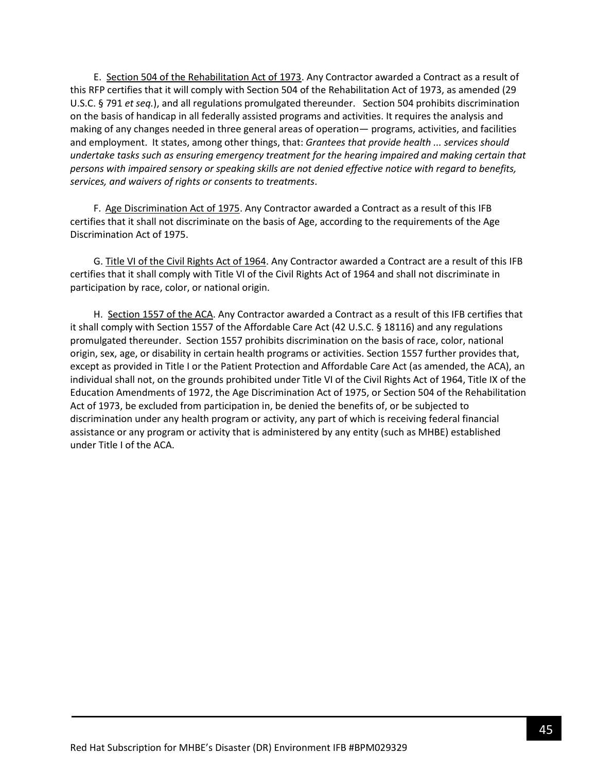E. Section 504 of the Rehabilitation Act of 1973. Any Contractor awarded a Contract as a result of this RFP certifies that it will comply with Section 504 of the Rehabilitation Act of 1973, as amended (29 U.S.C. § 791 *et seq.*), and all regulations promulgated thereunder. Section 504 prohibits discrimination on the basis of handicap in all federally assisted programs and activities. It requires the analysis and making of any changes needed in three general areas of operation— programs, activities, and facilities and employment. It states, among other things, that: *Grantees that provide health ... services should undertake tasks such as ensuring emergency treatment for the hearing impaired and making certain that persons with impaired sensory or speaking skills are not denied effective notice with regard to benefits, services, and waivers of rights or consents to treatments*.

F. Age Discrimination Act of 1975. Any Contractor awarded a Contract as a result of this IFB certifies that it shall not discriminate on the basis of Age, according to the requirements of the Age Discrimination Act of 1975.

G. Title VI of the Civil Rights Act of 1964. Any Contractor awarded a Contract are a result of this IFB certifies that it shall comply with Title VI of the Civil Rights Act of 1964 and shall not discriminate in participation by race, color, or national origin.

H. Section 1557 of the ACA. Any Contractor awarded a Contract as a result of this IFB certifies that it shall comply with Section 1557 of the Affordable Care Act (42 U.S.C. § 18116) and any regulations promulgated thereunder. Section 1557 prohibits discrimination on the basis of race, color, national origin, sex, age, or disability in certain health programs or activities. Section 1557 further provides that, except as provided in Title I or the Patient Protection and Affordable Care Act (as amended, the ACA), an individual shall not, on the grounds prohibited under Title VI of the Civil Rights Act of 1964, Title IX of the Education Amendments of 1972, the Age Discrimination Act of 1975, or Section 504 of the Rehabilitation Act of 1973, be excluded from participation in, be denied the benefits of, or be subjected to discrimination under any health program or activity, any part of which is receiving federal financial assistance or any program or activity that is administered by any entity (such as MHBE) established under Title I of the ACA.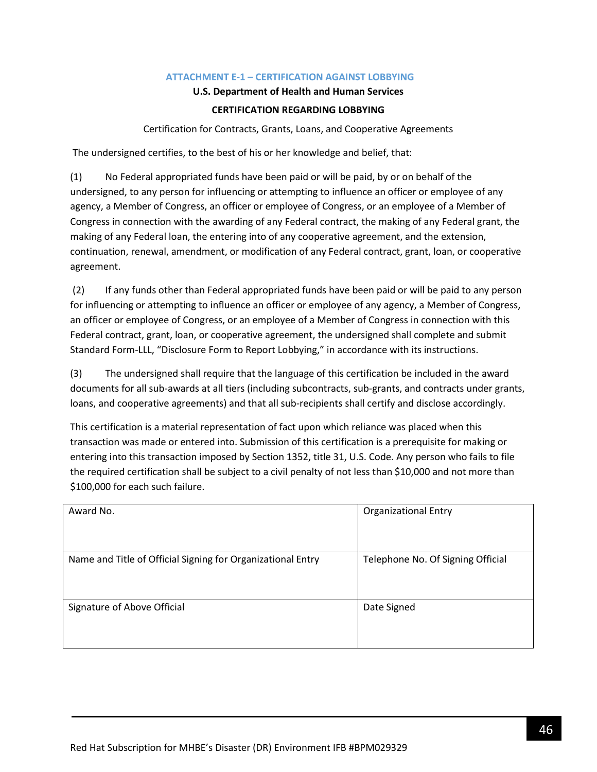### **ATTACHMENT E-1 – CERTIFICATION AGAINST LOBBYING**

### **U.S. Department of Health and Human Services**

### **CERTIFICATION REGARDING LOBBYING**

Certification for Contracts, Grants, Loans, and Cooperative Agreements

<span id="page-45-0"></span>The undersigned certifies, to the best of his or her knowledge and belief, that:

(1) No Federal appropriated funds have been paid or will be paid, by or on behalf of the undersigned, to any person for influencing or attempting to influence an officer or employee of any agency, a Member of Congress, an officer or employee of Congress, or an employee of a Member of Congress in connection with the awarding of any Federal contract, the making of any Federal grant, the making of any Federal loan, the entering into of any cooperative agreement, and the extension, continuation, renewal, amendment, or modification of any Federal contract, grant, loan, or cooperative agreement.

(2) If any funds other than Federal appropriated funds have been paid or will be paid to any person for influencing or attempting to influence an officer or employee of any agency, a Member of Congress, an officer or employee of Congress, or an employee of a Member of Congress in connection with this Federal contract, grant, loan, or cooperative agreement, the undersigned shall complete and submit Standard Form-LLL, "Disclosure Form to Report Lobbying," in accordance with its instructions.

(3) The undersigned shall require that the language of this certification be included in the award documents for all sub-awards at all tiers (including subcontracts, sub-grants, and contracts under grants, loans, and cooperative agreements) and that all sub-recipients shall certify and disclose accordingly.

This certification is a material representation of fact upon which reliance was placed when this transaction was made or entered into. Submission of this certification is a prerequisite for making or entering into this transaction imposed by Section 1352, title 31, U.S. Code. Any person who fails to file the required certification shall be subject to a civil penalty of not less than \$10,000 and not more than \$100,000 for each such failure.

| Award No.                                                   | <b>Organizational Entry</b>       |
|-------------------------------------------------------------|-----------------------------------|
| Name and Title of Official Signing for Organizational Entry | Telephone No. Of Signing Official |
| Signature of Above Official                                 | Date Signed                       |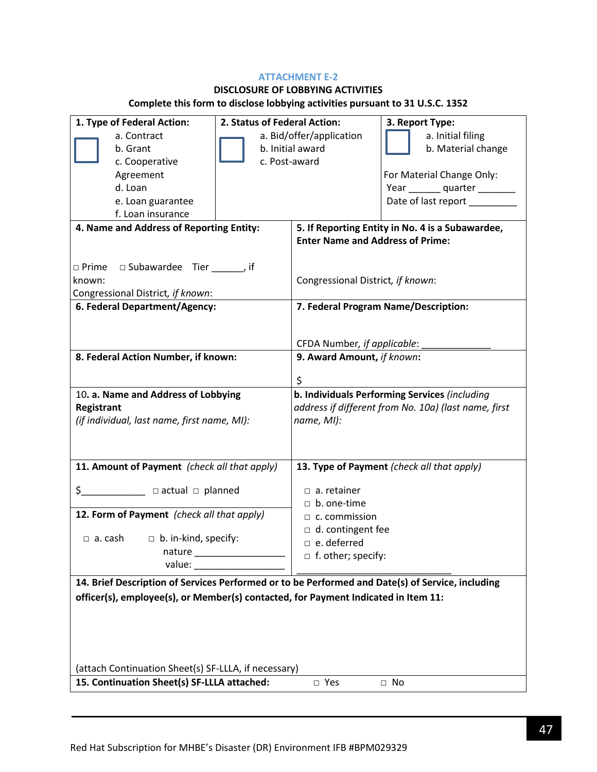### **ATTACHMENT E-2**

# **DISCLOSURE OF LOBBYING ACTIVITIES**

## **Complete this form to disclose lobbying activities pursuant to 31 U.S.C. 1352**

| a. Bid/offer/application<br>a. Contract<br>a. Initial filing<br>b. Initial award<br>b. Material change<br>b. Grant<br>c. Cooperative<br>c. Post-award<br>For Material Change Only:<br>Agreement<br>d. Loan<br>Year ________ quarter ________<br>Date of last report ________<br>e. Loan guarantee<br>f. Loan insurance<br>4. Name and Address of Reporting Entity:<br>5. If Reporting Entity in No. 4 is a Subawardee,<br><b>Enter Name and Address of Prime:</b><br>□ Subawardee Tier ______, if<br>$\Box$ Prime<br>Congressional District, if known:<br>known:<br>Congressional District, if known:<br>6. Federal Department/Agency:<br>7. Federal Program Name/Description:<br>CFDA Number, if applicable:<br>8. Federal Action Number, if known:<br>9. Award Amount, if known:<br>\$<br>b. Individuals Performing Services (including<br>10. a. Name and Address of Lobbying<br>address if different from No. 10a) (last name, first<br>Registrant<br>(if individual, last name, first name, MI):<br>name, MI):<br>11. Amount of Payment (check all that apply)<br>13. Type of Payment (check all that apply)<br>$\frac{1}{2}$ $\frac{1}{2}$ $\frac{1}{2}$ $\frac{1}{2}$ $\frac{1}{2}$ $\frac{1}{2}$ $\frac{1}{2}$ $\frac{1}{2}$ $\frac{1}{2}$ $\frac{1}{2}$ $\frac{1}{2}$ $\frac{1}{2}$ $\frac{1}{2}$ $\frac{1}{2}$ $\frac{1}{2}$ $\frac{1}{2}$ $\frac{1}{2}$ $\frac{1}{2}$ $\frac{1}{2}$ $\frac{1}{2}$ $\frac{1}{2}$ $\frac{1}{2}$<br>$\Box$ a. retainer<br>$\Box$ b. one-time<br>12. Form of Payment (check all that apply)<br>$\Box$ c. commission<br>$\Box$ d. contingent fee<br>$\Box$ a. cash<br>$\Box$ b. in-kind, specify:<br>$\Box$ e. deferred<br>nature<br>$\Box$ f. other; specify:<br>value:<br>14. Brief Description of Services Performed or to be Performed and Date(s) of Service, including<br>officer(s), employee(s), or Member(s) contacted, for Payment Indicated in Item 11:<br>(attach Continuation Sheet(s) SF-LLLA, if necessary) | 1. Type of Federal Action:                  | 2. Status of Federal Action: |       | 3. Report Type: |
|------------------------------------------------------------------------------------------------------------------------------------------------------------------------------------------------------------------------------------------------------------------------------------------------------------------------------------------------------------------------------------------------------------------------------------------------------------------------------------------------------------------------------------------------------------------------------------------------------------------------------------------------------------------------------------------------------------------------------------------------------------------------------------------------------------------------------------------------------------------------------------------------------------------------------------------------------------------------------------------------------------------------------------------------------------------------------------------------------------------------------------------------------------------------------------------------------------------------------------------------------------------------------------------------------------------------------------------------------------------------------------------------------------------------------------------------------------------------------------------------------------------------------------------------------------------------------------------------------------------------------------------------------------------------------------------------------------------------------------------------------------------------------------------------------------------------------------------------------------------------------------------------------------------------------------------------------------------|---------------------------------------------|------------------------------|-------|-----------------|
|                                                                                                                                                                                                                                                                                                                                                                                                                                                                                                                                                                                                                                                                                                                                                                                                                                                                                                                                                                                                                                                                                                                                                                                                                                                                                                                                                                                                                                                                                                                                                                                                                                                                                                                                                                                                                                                                                                                                                                  |                                             |                              |       |                 |
|                                                                                                                                                                                                                                                                                                                                                                                                                                                                                                                                                                                                                                                                                                                                                                                                                                                                                                                                                                                                                                                                                                                                                                                                                                                                                                                                                                                                                                                                                                                                                                                                                                                                                                                                                                                                                                                                                                                                                                  |                                             |                              |       |                 |
|                                                                                                                                                                                                                                                                                                                                                                                                                                                                                                                                                                                                                                                                                                                                                                                                                                                                                                                                                                                                                                                                                                                                                                                                                                                                                                                                                                                                                                                                                                                                                                                                                                                                                                                                                                                                                                                                                                                                                                  |                                             |                              |       |                 |
|                                                                                                                                                                                                                                                                                                                                                                                                                                                                                                                                                                                                                                                                                                                                                                                                                                                                                                                                                                                                                                                                                                                                                                                                                                                                                                                                                                                                                                                                                                                                                                                                                                                                                                                                                                                                                                                                                                                                                                  |                                             |                              |       |                 |
|                                                                                                                                                                                                                                                                                                                                                                                                                                                                                                                                                                                                                                                                                                                                                                                                                                                                                                                                                                                                                                                                                                                                                                                                                                                                                                                                                                                                                                                                                                                                                                                                                                                                                                                                                                                                                                                                                                                                                                  |                                             |                              |       |                 |
|                                                                                                                                                                                                                                                                                                                                                                                                                                                                                                                                                                                                                                                                                                                                                                                                                                                                                                                                                                                                                                                                                                                                                                                                                                                                                                                                                                                                                                                                                                                                                                                                                                                                                                                                                                                                                                                                                                                                                                  |                                             |                              |       |                 |
|                                                                                                                                                                                                                                                                                                                                                                                                                                                                                                                                                                                                                                                                                                                                                                                                                                                                                                                                                                                                                                                                                                                                                                                                                                                                                                                                                                                                                                                                                                                                                                                                                                                                                                                                                                                                                                                                                                                                                                  |                                             |                              |       |                 |
|                                                                                                                                                                                                                                                                                                                                                                                                                                                                                                                                                                                                                                                                                                                                                                                                                                                                                                                                                                                                                                                                                                                                                                                                                                                                                                                                                                                                                                                                                                                                                                                                                                                                                                                                                                                                                                                                                                                                                                  |                                             |                              |       |                 |
|                                                                                                                                                                                                                                                                                                                                                                                                                                                                                                                                                                                                                                                                                                                                                                                                                                                                                                                                                                                                                                                                                                                                                                                                                                                                                                                                                                                                                                                                                                                                                                                                                                                                                                                                                                                                                                                                                                                                                                  |                                             |                              |       |                 |
|                                                                                                                                                                                                                                                                                                                                                                                                                                                                                                                                                                                                                                                                                                                                                                                                                                                                                                                                                                                                                                                                                                                                                                                                                                                                                                                                                                                                                                                                                                                                                                                                                                                                                                                                                                                                                                                                                                                                                                  |                                             |                              |       |                 |
|                                                                                                                                                                                                                                                                                                                                                                                                                                                                                                                                                                                                                                                                                                                                                                                                                                                                                                                                                                                                                                                                                                                                                                                                                                                                                                                                                                                                                                                                                                                                                                                                                                                                                                                                                                                                                                                                                                                                                                  |                                             |                              |       |                 |
|                                                                                                                                                                                                                                                                                                                                                                                                                                                                                                                                                                                                                                                                                                                                                                                                                                                                                                                                                                                                                                                                                                                                                                                                                                                                                                                                                                                                                                                                                                                                                                                                                                                                                                                                                                                                                                                                                                                                                                  |                                             |                              |       |                 |
|                                                                                                                                                                                                                                                                                                                                                                                                                                                                                                                                                                                                                                                                                                                                                                                                                                                                                                                                                                                                                                                                                                                                                                                                                                                                                                                                                                                                                                                                                                                                                                                                                                                                                                                                                                                                                                                                                                                                                                  |                                             |                              |       |                 |
|                                                                                                                                                                                                                                                                                                                                                                                                                                                                                                                                                                                                                                                                                                                                                                                                                                                                                                                                                                                                                                                                                                                                                                                                                                                                                                                                                                                                                                                                                                                                                                                                                                                                                                                                                                                                                                                                                                                                                                  |                                             |                              |       |                 |
|                                                                                                                                                                                                                                                                                                                                                                                                                                                                                                                                                                                                                                                                                                                                                                                                                                                                                                                                                                                                                                                                                                                                                                                                                                                                                                                                                                                                                                                                                                                                                                                                                                                                                                                                                                                                                                                                                                                                                                  |                                             |                              |       |                 |
|                                                                                                                                                                                                                                                                                                                                                                                                                                                                                                                                                                                                                                                                                                                                                                                                                                                                                                                                                                                                                                                                                                                                                                                                                                                                                                                                                                                                                                                                                                                                                                                                                                                                                                                                                                                                                                                                                                                                                                  |                                             |                              |       |                 |
|                                                                                                                                                                                                                                                                                                                                                                                                                                                                                                                                                                                                                                                                                                                                                                                                                                                                                                                                                                                                                                                                                                                                                                                                                                                                                                                                                                                                                                                                                                                                                                                                                                                                                                                                                                                                                                                                                                                                                                  |                                             |                              |       |                 |
|                                                                                                                                                                                                                                                                                                                                                                                                                                                                                                                                                                                                                                                                                                                                                                                                                                                                                                                                                                                                                                                                                                                                                                                                                                                                                                                                                                                                                                                                                                                                                                                                                                                                                                                                                                                                                                                                                                                                                                  |                                             |                              |       |                 |
|                                                                                                                                                                                                                                                                                                                                                                                                                                                                                                                                                                                                                                                                                                                                                                                                                                                                                                                                                                                                                                                                                                                                                                                                                                                                                                                                                                                                                                                                                                                                                                                                                                                                                                                                                                                                                                                                                                                                                                  |                                             |                              |       |                 |
|                                                                                                                                                                                                                                                                                                                                                                                                                                                                                                                                                                                                                                                                                                                                                                                                                                                                                                                                                                                                                                                                                                                                                                                                                                                                                                                                                                                                                                                                                                                                                                                                                                                                                                                                                                                                                                                                                                                                                                  |                                             |                              |       |                 |
|                                                                                                                                                                                                                                                                                                                                                                                                                                                                                                                                                                                                                                                                                                                                                                                                                                                                                                                                                                                                                                                                                                                                                                                                                                                                                                                                                                                                                                                                                                                                                                                                                                                                                                                                                                                                                                                                                                                                                                  |                                             |                              |       |                 |
|                                                                                                                                                                                                                                                                                                                                                                                                                                                                                                                                                                                                                                                                                                                                                                                                                                                                                                                                                                                                                                                                                                                                                                                                                                                                                                                                                                                                                                                                                                                                                                                                                                                                                                                                                                                                                                                                                                                                                                  |                                             |                              |       |                 |
|                                                                                                                                                                                                                                                                                                                                                                                                                                                                                                                                                                                                                                                                                                                                                                                                                                                                                                                                                                                                                                                                                                                                                                                                                                                                                                                                                                                                                                                                                                                                                                                                                                                                                                                                                                                                                                                                                                                                                                  |                                             |                              |       |                 |
|                                                                                                                                                                                                                                                                                                                                                                                                                                                                                                                                                                                                                                                                                                                                                                                                                                                                                                                                                                                                                                                                                                                                                                                                                                                                                                                                                                                                                                                                                                                                                                                                                                                                                                                                                                                                                                                                                                                                                                  |                                             |                              |       |                 |
|                                                                                                                                                                                                                                                                                                                                                                                                                                                                                                                                                                                                                                                                                                                                                                                                                                                                                                                                                                                                                                                                                                                                                                                                                                                                                                                                                                                                                                                                                                                                                                                                                                                                                                                                                                                                                                                                                                                                                                  |                                             |                              |       |                 |
|                                                                                                                                                                                                                                                                                                                                                                                                                                                                                                                                                                                                                                                                                                                                                                                                                                                                                                                                                                                                                                                                                                                                                                                                                                                                                                                                                                                                                                                                                                                                                                                                                                                                                                                                                                                                                                                                                                                                                                  |                                             |                              |       |                 |
|                                                                                                                                                                                                                                                                                                                                                                                                                                                                                                                                                                                                                                                                                                                                                                                                                                                                                                                                                                                                                                                                                                                                                                                                                                                                                                                                                                                                                                                                                                                                                                                                                                                                                                                                                                                                                                                                                                                                                                  |                                             |                              |       |                 |
|                                                                                                                                                                                                                                                                                                                                                                                                                                                                                                                                                                                                                                                                                                                                                                                                                                                                                                                                                                                                                                                                                                                                                                                                                                                                                                                                                                                                                                                                                                                                                                                                                                                                                                                                                                                                                                                                                                                                                                  |                                             |                              |       |                 |
|                                                                                                                                                                                                                                                                                                                                                                                                                                                                                                                                                                                                                                                                                                                                                                                                                                                                                                                                                                                                                                                                                                                                                                                                                                                                                                                                                                                                                                                                                                                                                                                                                                                                                                                                                                                                                                                                                                                                                                  |                                             |                              |       |                 |
|                                                                                                                                                                                                                                                                                                                                                                                                                                                                                                                                                                                                                                                                                                                                                                                                                                                                                                                                                                                                                                                                                                                                                                                                                                                                                                                                                                                                                                                                                                                                                                                                                                                                                                                                                                                                                                                                                                                                                                  |                                             |                              |       |                 |
|                                                                                                                                                                                                                                                                                                                                                                                                                                                                                                                                                                                                                                                                                                                                                                                                                                                                                                                                                                                                                                                                                                                                                                                                                                                                                                                                                                                                                                                                                                                                                                                                                                                                                                                                                                                                                                                                                                                                                                  |                                             |                              |       |                 |
|                                                                                                                                                                                                                                                                                                                                                                                                                                                                                                                                                                                                                                                                                                                                                                                                                                                                                                                                                                                                                                                                                                                                                                                                                                                                                                                                                                                                                                                                                                                                                                                                                                                                                                                                                                                                                                                                                                                                                                  |                                             |                              |       |                 |
|                                                                                                                                                                                                                                                                                                                                                                                                                                                                                                                                                                                                                                                                                                                                                                                                                                                                                                                                                                                                                                                                                                                                                                                                                                                                                                                                                                                                                                                                                                                                                                                                                                                                                                                                                                                                                                                                                                                                                                  |                                             |                              |       |                 |
|                                                                                                                                                                                                                                                                                                                                                                                                                                                                                                                                                                                                                                                                                                                                                                                                                                                                                                                                                                                                                                                                                                                                                                                                                                                                                                                                                                                                                                                                                                                                                                                                                                                                                                                                                                                                                                                                                                                                                                  |                                             |                              |       |                 |
|                                                                                                                                                                                                                                                                                                                                                                                                                                                                                                                                                                                                                                                                                                                                                                                                                                                                                                                                                                                                                                                                                                                                                                                                                                                                                                                                                                                                                                                                                                                                                                                                                                                                                                                                                                                                                                                                                                                                                                  |                                             |                              |       |                 |
|                                                                                                                                                                                                                                                                                                                                                                                                                                                                                                                                                                                                                                                                                                                                                                                                                                                                                                                                                                                                                                                                                                                                                                                                                                                                                                                                                                                                                                                                                                                                                                                                                                                                                                                                                                                                                                                                                                                                                                  |                                             |                              |       |                 |
|                                                                                                                                                                                                                                                                                                                                                                                                                                                                                                                                                                                                                                                                                                                                                                                                                                                                                                                                                                                                                                                                                                                                                                                                                                                                                                                                                                                                                                                                                                                                                                                                                                                                                                                                                                                                                                                                                                                                                                  |                                             |                              |       |                 |
|                                                                                                                                                                                                                                                                                                                                                                                                                                                                                                                                                                                                                                                                                                                                                                                                                                                                                                                                                                                                                                                                                                                                                                                                                                                                                                                                                                                                                                                                                                                                                                                                                                                                                                                                                                                                                                                                                                                                                                  |                                             |                              |       |                 |
|                                                                                                                                                                                                                                                                                                                                                                                                                                                                                                                                                                                                                                                                                                                                                                                                                                                                                                                                                                                                                                                                                                                                                                                                                                                                                                                                                                                                                                                                                                                                                                                                                                                                                                                                                                                                                                                                                                                                                                  |                                             |                              |       |                 |
|                                                                                                                                                                                                                                                                                                                                                                                                                                                                                                                                                                                                                                                                                                                                                                                                                                                                                                                                                                                                                                                                                                                                                                                                                                                                                                                                                                                                                                                                                                                                                                                                                                                                                                                                                                                                                                                                                                                                                                  |                                             |                              |       |                 |
|                                                                                                                                                                                                                                                                                                                                                                                                                                                                                                                                                                                                                                                                                                                                                                                                                                                                                                                                                                                                                                                                                                                                                                                                                                                                                                                                                                                                                                                                                                                                                                                                                                                                                                                                                                                                                                                                                                                                                                  |                                             |                              |       |                 |
|                                                                                                                                                                                                                                                                                                                                                                                                                                                                                                                                                                                                                                                                                                                                                                                                                                                                                                                                                                                                                                                                                                                                                                                                                                                                                                                                                                                                                                                                                                                                                                                                                                                                                                                                                                                                                                                                                                                                                                  | 15. Continuation Sheet(s) SF-LLLA attached: |                              | □ Yes | $\Box$ No       |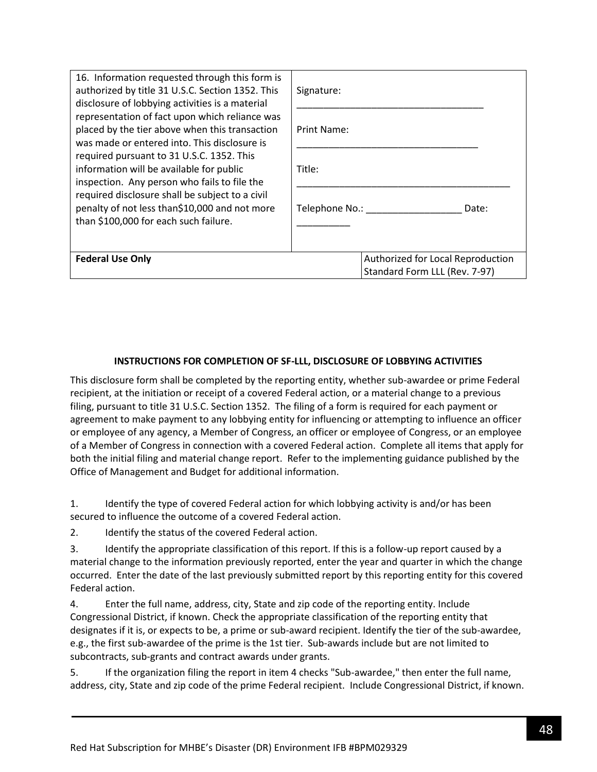| 16. Information requested through this form is<br>authorized by title 31 U.S.C. Section 1352. This<br>disclosure of lobbying activities is a material                                                                                                                                                                                                                                                                                  | Signature:<br>Print Name:<br>Title: |                                                                    |  |
|----------------------------------------------------------------------------------------------------------------------------------------------------------------------------------------------------------------------------------------------------------------------------------------------------------------------------------------------------------------------------------------------------------------------------------------|-------------------------------------|--------------------------------------------------------------------|--|
| representation of fact upon which reliance was<br>placed by the tier above when this transaction<br>was made or entered into. This disclosure is<br>required pursuant to 31 U.S.C. 1352. This<br>information will be available for public<br>inspection. Any person who fails to file the<br>required disclosure shall be subject to a civil<br>penalty of not less than\$10,000 and not more<br>than \$100,000 for each such failure. |                                     |                                                                    |  |
|                                                                                                                                                                                                                                                                                                                                                                                                                                        |                                     |                                                                    |  |
|                                                                                                                                                                                                                                                                                                                                                                                                                                        | <b>Federal Use Only</b>             | Authorized for Local Reproduction<br>Standard Form LLL (Rev. 7-97) |  |

### **INSTRUCTIONS FOR COMPLETION OF SF-LLL, DISCLOSURE OF LOBBYING ACTIVITIES**

This disclosure form shall be completed by the reporting entity, whether sub-awardee or prime Federal recipient, at the initiation or receipt of a covered Federal action, or a material change to a previous filing, pursuant to title 31 U.S.C. Section 1352. The filing of a form is required for each payment or agreement to make payment to any lobbying entity for influencing or attempting to influence an officer or employee of any agency, a Member of Congress, an officer or employee of Congress, or an employee of a Member of Congress in connection with a covered Federal action. Complete all items that apply for both the initial filing and material change report. Refer to the implementing guidance published by the Office of Management and Budget for additional information.

1. Identify the type of covered Federal action for which lobbying activity is and/or has been secured to influence the outcome of a covered Federal action.

2. Identify the status of the covered Federal action.

3. Identify the appropriate classification of this report. If this is a follow-up report caused by a material change to the information previously reported, enter the year and quarter in which the change occurred. Enter the date of the last previously submitted report by this reporting entity for this covered Federal action.

4. Enter the full name, address, city, State and zip code of the reporting entity. Include Congressional District, if known. Check the appropriate classification of the reporting entity that designates if it is, or expects to be, a prime or sub-award recipient. Identify the tier of the sub-awardee, e.g., the first sub-awardee of the prime is the 1st tier. Sub-awards include but are not limited to subcontracts, sub-grants and contract awards under grants.

5. If the organization filing the report in item 4 checks "Sub-awardee," then enter the full name, address, city, State and zip code of the prime Federal recipient. Include Congressional District, if known.